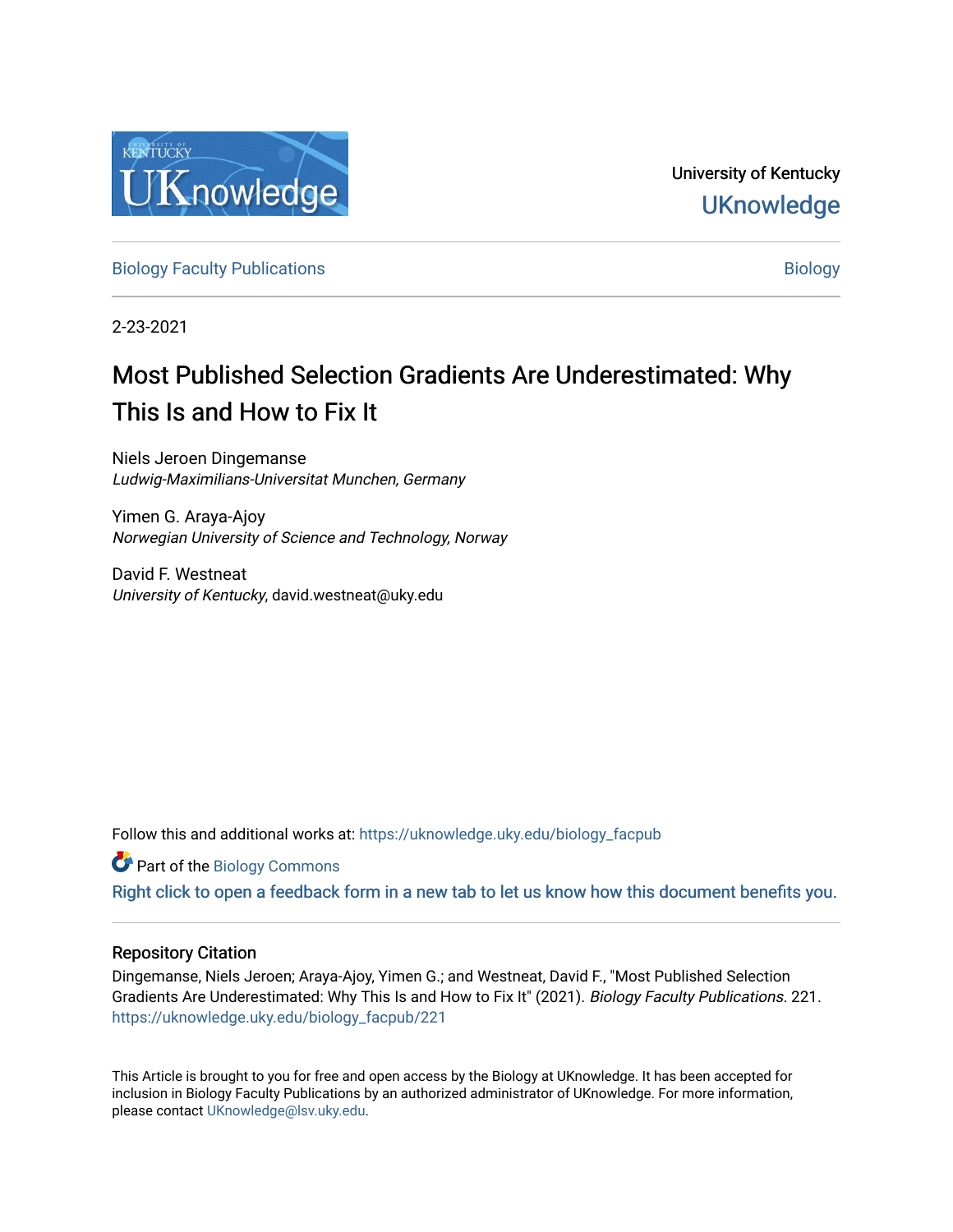

University of Kentucky **UKnowledge** 

[Biology Faculty Publications](https://uknowledge.uky.edu/biology_facpub) and the state of the state of the [Biology](https://uknowledge.uky.edu/biology) Biology

2-23-2021

# Most Published Selection Gradients Are Underestimated: Why This Is and How to Fix It

Niels Jeroen Dingemanse Ludwig-Maximilians-Universitat Munchen, Germany

Yimen G. Araya-Ajoy Norwegian University of Science and Technology, Norway

David F. Westneat University of Kentucky, david.westneat@uky.edu

Follow this and additional works at: [https://uknowledge.uky.edu/biology\\_facpub](https://uknowledge.uky.edu/biology_facpub?utm_source=uknowledge.uky.edu%2Fbiology_facpub%2F221&utm_medium=PDF&utm_campaign=PDFCoverPages)

**Part of the Biology Commons** 

[Right click to open a feedback form in a new tab to let us know how this document benefits you.](https://uky.az1.qualtrics.com/jfe/form/SV_9mq8fx2GnONRfz7)

### Repository Citation

Dingemanse, Niels Jeroen; Araya-Ajoy, Yimen G.; and Westneat, David F., "Most Published Selection Gradients Are Underestimated: Why This Is and How to Fix It" (2021). Biology Faculty Publications. 221. [https://uknowledge.uky.edu/biology\\_facpub/221](https://uknowledge.uky.edu/biology_facpub/221?utm_source=uknowledge.uky.edu%2Fbiology_facpub%2F221&utm_medium=PDF&utm_campaign=PDFCoverPages)

This Article is brought to you for free and open access by the Biology at UKnowledge. It has been accepted for inclusion in Biology Faculty Publications by an authorized administrator of UKnowledge. For more information, please contact [UKnowledge@lsv.uky.edu.](mailto:UKnowledge@lsv.uky.edu)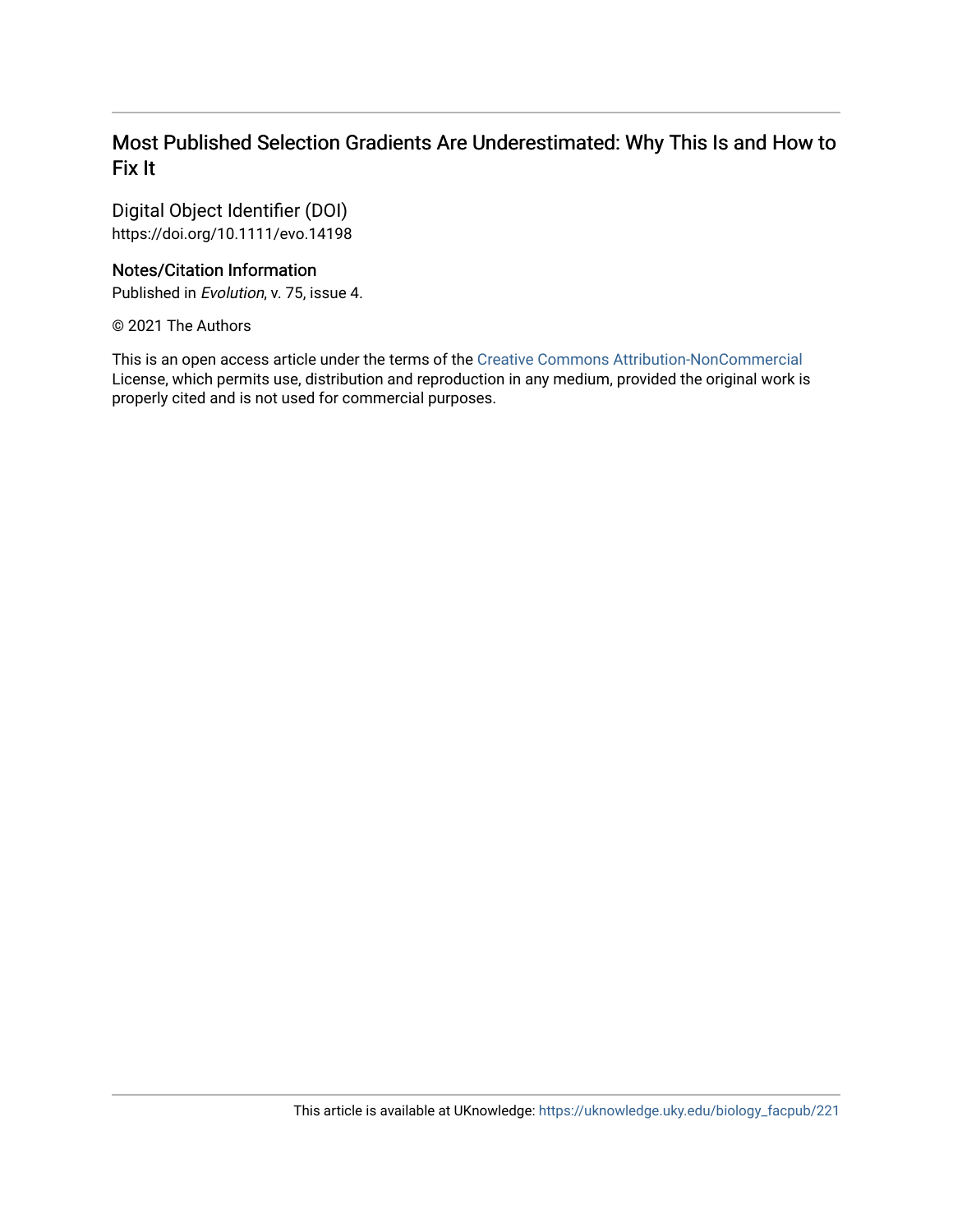### Most Published Selection Gradients Are Underestimated: Why This Is and How to Fix It

Digital Object Identifier (DOI) https://doi.org/10.1111/evo.14198

### Notes/Citation Information

Published in Evolution, v. 75, issue 4.

© 2021 The Authors

This is an open access article under the terms of the [Creative Commons Attribution-NonCommercial](http://creativecommons.org/licenses/by-nc/4.0/)  License, which permits use, distribution and reproduction in any medium, provided the original work is properly cited and is not used for commercial purposes.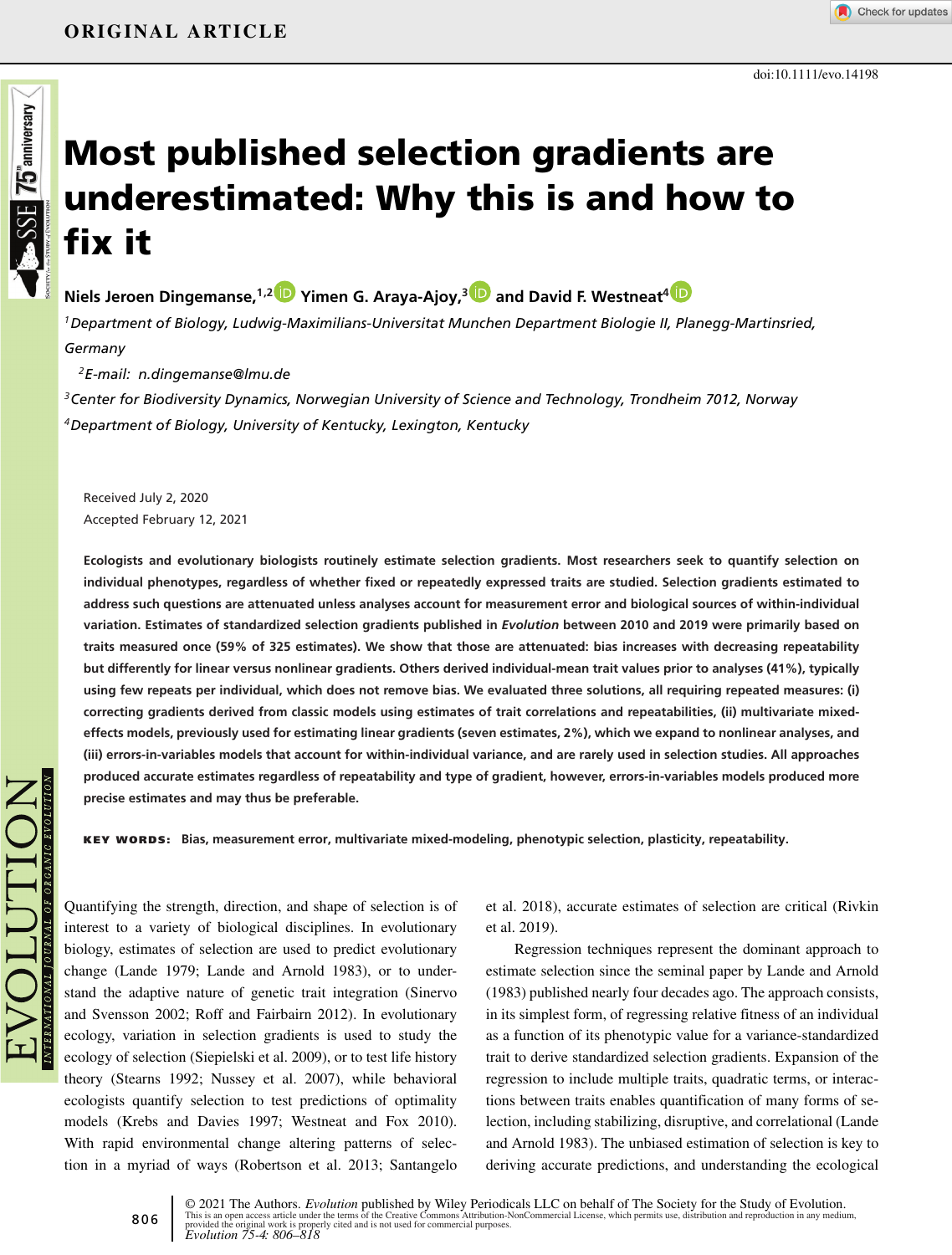# **SSE 75 antiversary Most published selection gradients are underestimated: Why this is and how to fix it**

**Niels Jeroen Dingemanse,1,[2](https://orcid.org/0000-0003-3320-0861) Yimen G. Araya-Ajoy,[3](https://orcid.org/0000-0001-7844-0477) and David F. Westneat[4](https://orcid.org/0000-0001-5163-8096)**

*1Department of Biology, Ludwig-Maximilians-Universitat Munchen Department Biologie II, Planegg-Martinsried, Germany*

*2E-mail: n.dingemanse@lmu.de*

*3Center for Biodiversity Dynamics, Norwegian University of Science and Technology, Trondheim 7012, Norway 4Department of Biology, University of Kentucky, Lexington, Kentucky*

Received July 2, 2020 Accepted February 12, 2021

**Ecologists and evolutionary biologists routinely estimate selection gradients. Most researchers seek to quantify selection on individual phenotypes, regardless of whether fixed or repeatedly expressed traits are studied. Selection gradients estimated to address such questions are attenuated unless analyses account for measurement error and biological sources of within-individual variation. Estimates of standardized selection gradients published in** *Evolution* **between 2010 and 2019 were primarily based on traits measured once (59% of 325 estimates). We show that those are attenuated: bias increases with decreasing repeatability but differently for linear versus nonlinear gradients. Others derived individual-mean trait values prior to analyses (41%), typically using few repeats per individual, which does not remove bias. We evaluated three solutions, all requiring repeated measures: (i) correcting gradients derived from classic models using estimates of trait correlations and repeatabilities, (ii) multivariate mixedeffects models, previously used for estimating linear gradients (seven estimates, 2%), which we expand to nonlinear analyses, and (iii) errors-in-variables models that account for within-individual variance, and are rarely used in selection studies. All approaches produced accurate estimates regardless of repeatability and type of gradient, however, errors-in-variables models produced more precise estimates and may thus be preferable.**

**KEY WORDS: Bias, measurement error, multivariate mixed-modeling, phenotypic selection, plasticity, repeatability.**

Quantifying the strength, direction, and shape of selection is of interest to a variety of biological disciplines. In evolutionary biology, estimates of selection are used to predict evolutionary change (Lande 1979; Lande and Arnold 1983), or to understand the adaptive nature of genetic trait integration (Sinervo and Svensson 2002; Roff and Fairbairn 2012). In evolutionary ecology, variation in selection gradients is used to study the ecology of selection (Siepielski et al. 2009), or to test life history theory (Stearns 1992; Nussey et al. 2007), while behavioral ecologists quantify selection to test predictions of optimality models (Krebs and Davies 1997; Westneat and Fox 2010). With rapid environmental change altering patterns of selection in a myriad of ways (Robertson et al. 2013; Santangelo

et al. 2018), accurate estimates of selection are critical (Rivkin et al. 2019).

Regression techniques represent the dominant approach to estimate selection since the seminal paper by Lande and Arnold (1983) published nearly four decades ago. The approach consists, in its simplest form, of regressing relative fitness of an individual as a function of its phenotypic value for a variance-standardized trait to derive standardized selection gradients. Expansion of the regression to include multiple traits, quadratic terms, or interactions between traits enables quantification of many forms of selection, including stabilizing, disruptive, and correlational (Lande and Arnold 1983). The unbiased estimation of selection is key to deriving accurate predictions, and understanding the ecological

© 2021 The Authors. *Evolution* published by Wiley Periodicals LLC on behalf of The Society for the Study of Evolution.<br>This is an open access article under the terms of the [Creative Commons Attribution-NonCommercial](http://creativecommons.org/licenses/by-nc/4.0/) Licen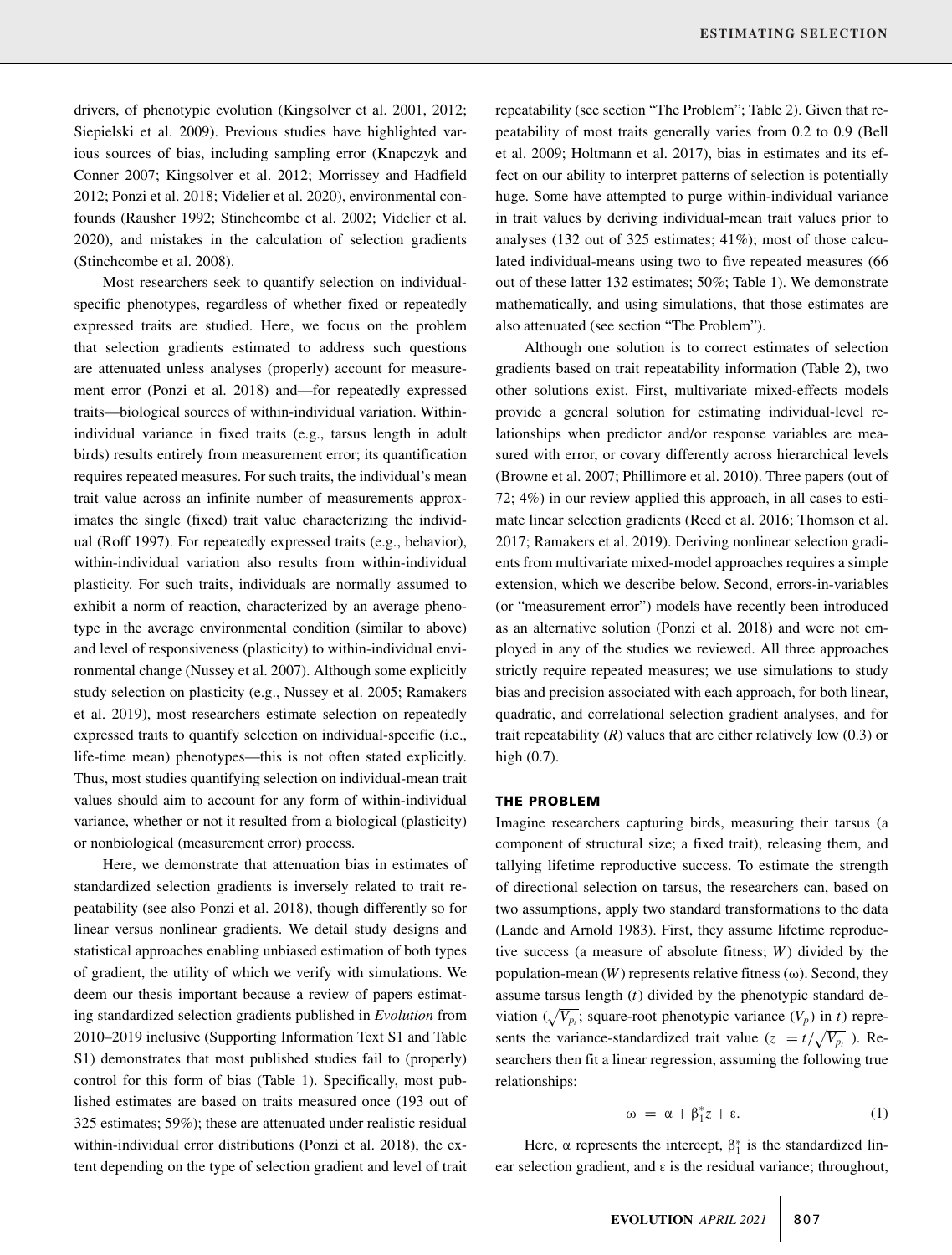drivers, of phenotypic evolution (Kingsolver et al. 2001, 2012; Siepielski et al. 2009). Previous studies have highlighted various sources of bias, including sampling error (Knapczyk and Conner 2007; Kingsolver et al. 2012; Morrissey and Hadfield 2012; Ponzi et al. 2018; Videlier et al. 2020), environmental confounds (Rausher 1992; Stinchcombe et al. 2002; Videlier et al. 2020), and mistakes in the calculation of selection gradients (Stinchcombe et al. 2008).

Most researchers seek to quantify selection on individualspecific phenotypes, regardless of whether fixed or repeatedly expressed traits are studied. Here, we focus on the problem that selection gradients estimated to address such questions are attenuated unless analyses (properly) account for measurement error (Ponzi et al. 2018) and—for repeatedly expressed traits—biological sources of within-individual variation. Withinindividual variance in fixed traits (e.g., tarsus length in adult birds) results entirely from measurement error; its quantification requires repeated measures. For such traits, the individual's mean trait value across an infinite number of measurements approximates the single (fixed) trait value characterizing the individual (Roff 1997). For repeatedly expressed traits (e.g., behavior), within-individual variation also results from within-individual plasticity. For such traits, individuals are normally assumed to exhibit a norm of reaction, characterized by an average phenotype in the average environmental condition (similar to above) and level of responsiveness (plasticity) to within-individual environmental change (Nussey et al. 2007). Although some explicitly study selection on plasticity (e.g., Nussey et al. 2005; Ramakers et al. 2019), most researchers estimate selection on repeatedly expressed traits to quantify selection on individual-specific (i.e., life-time mean) phenotypes—this is not often stated explicitly. Thus, most studies quantifying selection on individual-mean trait values should aim to account for any form of within-individual variance, whether or not it resulted from a biological (plasticity) or nonbiological (measurement error) process.

Here, we demonstrate that attenuation bias in estimates of standardized selection gradients is inversely related to trait repeatability (see also Ponzi et al. 2018), though differently so for linear versus nonlinear gradients. We detail study designs and statistical approaches enabling unbiased estimation of both types of gradient, the utility of which we verify with simulations. We deem our thesis important because a review of papers estimating standardized selection gradients published in *Evolution* from 2010–2019 inclusive (Supporting Information Text S1 and Table S1) demonstrates that most published studies fail to (properly) control for this form of bias (Table 1). Specifically, most published estimates are based on traits measured once (193 out of 325 estimates; 59%); these are attenuated under realistic residual within-individual error distributions (Ponzi et al. 2018), the extent depending on the type of selection gradient and level of trait repeatability (see section "The Problem"; Table 2). Given that repeatability of most traits generally varies from 0.2 to 0.9 (Bell et al. 2009; Holtmann et al. 2017), bias in estimates and its effect on our ability to interpret patterns of selection is potentially huge. Some have attempted to purge within-individual variance in trait values by deriving individual-mean trait values prior to analyses (132 out of 325 estimates; 41%); most of those calculated individual-means using two to five repeated measures (66 out of these latter 132 estimates; 50%; Table 1). We demonstrate mathematically, and using simulations, that those estimates are also attenuated (see section "The Problem").

Although one solution is to correct estimates of selection gradients based on trait repeatability information (Table 2), two other solutions exist. First, multivariate mixed-effects models provide a general solution for estimating individual-level relationships when predictor and/or response variables are measured with error, or covary differently across hierarchical levels (Browne et al. 2007; Phillimore et al. 2010). Three papers (out of 72; 4%) in our review applied this approach, in all cases to estimate linear selection gradients (Reed et al. 2016; Thomson et al. 2017; Ramakers et al. 2019). Deriving nonlinear selection gradients from multivariate mixed-model approaches requires a simple extension, which we describe below. Second, errors-in-variables (or "measurement error") models have recently been introduced as an alternative solution (Ponzi et al. 2018) and were not employed in any of the studies we reviewed. All three approaches strictly require repeated measures; we use simulations to study bias and precision associated with each approach, for both linear, quadratic, and correlational selection gradient analyses, and for trait repeatability  $(R)$  values that are either relatively low  $(0.3)$  or high (0.7).

#### **THE PROBLEM**

Imagine researchers capturing birds, measuring their tarsus (a component of structural size; a fixed trait), releasing them, and tallying lifetime reproductive success. To estimate the strength of directional selection on tarsus, the researchers can, based on two assumptions, apply two standard transformations to the data (Lande and Arnold 1983). First, they assume lifetime reproductive success (a measure of absolute fitness; *W* ) divided by the population-mean  $(\bar{W})$  represents relative fitness ( $\omega$ ). Second, they assume tarsus length (*t*) divided by the phenotypic standard deviation  $(\sqrt{V_{p_t}})$ ; square-root phenotypic variance  $(V_p)$  in *t*) represents the variance-standardized trait value ( $z = t/\sqrt{V_{p_t}}$ ). Researchers then fit a linear regression, assuming the following true relationships:

$$
\omega = \alpha + \beta_1^* z + \varepsilon. \tag{1}
$$

Here,  $\alpha$  represents the intercept,  $\beta_1^*$  is the standardized linear selection gradient, and ε is the residual variance; throughout,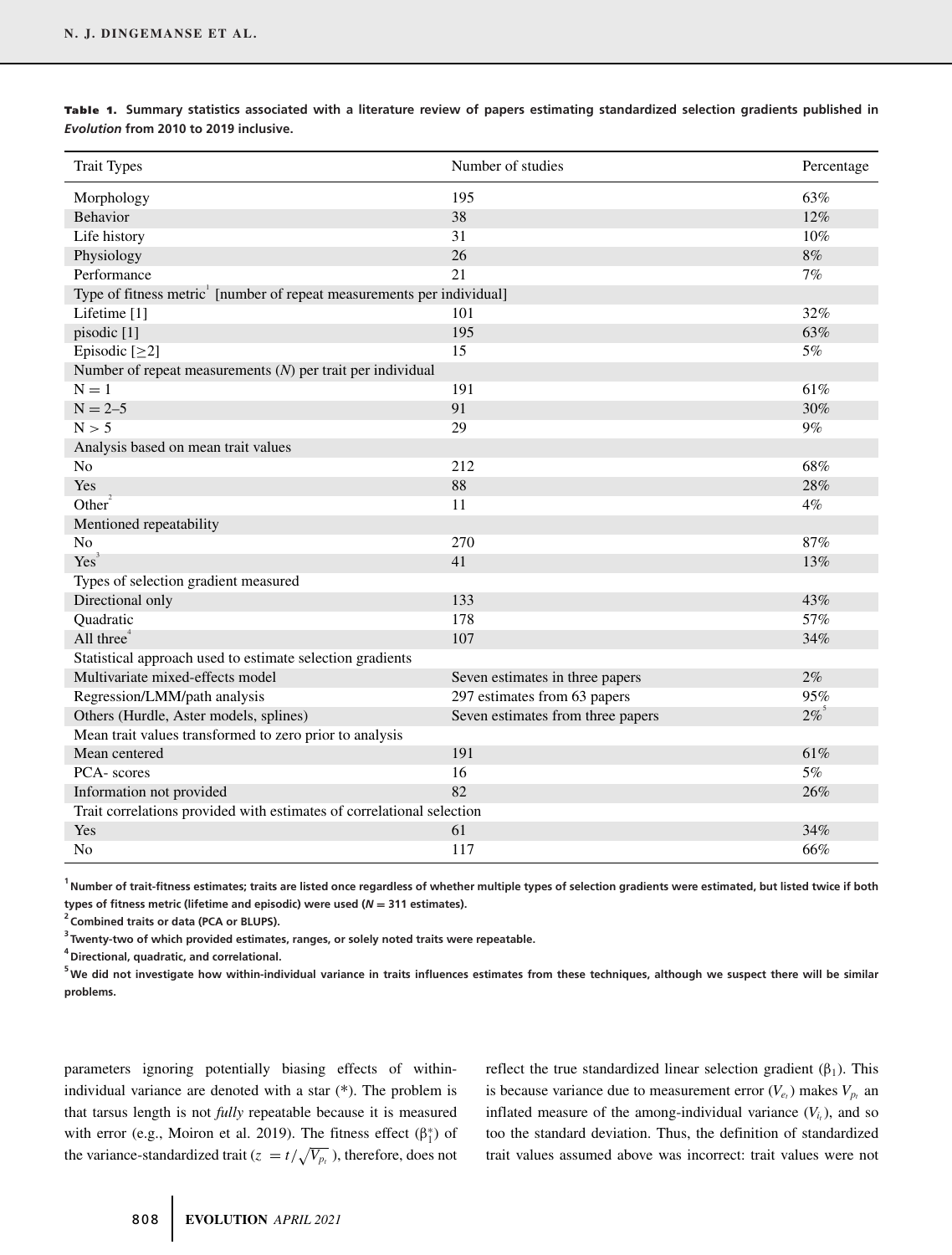| <b>Trait Types</b>                                                    | Number of studies                 | Percentage         |  |  |
|-----------------------------------------------------------------------|-----------------------------------|--------------------|--|--|
| Morphology                                                            | 195                               | 63%                |  |  |
| Behavior                                                              | 38                                | 12%                |  |  |
| Life history                                                          | 31                                | 10%                |  |  |
| Physiology                                                            | 26                                | 8%                 |  |  |
| Performance                                                           | 21                                | 7%                 |  |  |
| Type of fitness metric [number of repeat measurements per individual] |                                   |                    |  |  |
| Lifetime [1]                                                          | 101                               | 32%                |  |  |
| pisodic [1]                                                           | 195                               | 63%                |  |  |
| Episodic $[\geq 2]$                                                   | 15                                | 5%                 |  |  |
| Number of repeat measurements $(N)$ per trait per individual          |                                   |                    |  |  |
| $N = 1$                                                               | 191                               | 61%                |  |  |
| $N = 2 - 5$                                                           | 91                                | 30%                |  |  |
| N > 5                                                                 | 29                                | $9\%$              |  |  |
| Analysis based on mean trait values                                   |                                   |                    |  |  |
| N <sub>o</sub>                                                        | 212                               | 68%                |  |  |
| Yes                                                                   | 88                                | 28%                |  |  |
| Other $\overline{ }$                                                  | 11                                | 4%                 |  |  |
| Mentioned repeatability                                               |                                   |                    |  |  |
| N <sub>0</sub>                                                        | 270                               | 87%                |  |  |
| Yes <sup>3</sup>                                                      | 41                                | 13%                |  |  |
| Types of selection gradient measured                                  |                                   |                    |  |  |
| Directional only                                                      | 133                               | 43%                |  |  |
| Quadratic                                                             | 178                               | 57%                |  |  |
| All three $4$                                                         | 107                               | 34%                |  |  |
| Statistical approach used to estimate selection gradients             |                                   |                    |  |  |
| Multivariate mixed-effects model                                      | Seven estimates in three papers   | $2\%$              |  |  |
| Regression/LMM/path analysis                                          | 297 estimates from 63 papers      | 95%                |  |  |
| Others (Hurdle, Aster models, splines)                                | Seven estimates from three papers | $2\%$ <sup>5</sup> |  |  |
| Mean trait values transformed to zero prior to analysis               |                                   |                    |  |  |
| Mean centered                                                         | 191                               | 61%                |  |  |
| PCA-scores                                                            | 16                                | $5\%$              |  |  |
| Information not provided                                              | 82                                | 26%                |  |  |
| Trait correlations provided with estimates of correlational selection |                                   |                    |  |  |
| Yes                                                                   | 61                                | 34%                |  |  |
| N <sub>o</sub>                                                        | 117                               | 66%                |  |  |

Table 1. Summary statistics associated with a literature review of papers estimating standardized selection gradients published in *Evolution* **from 2010 to 2019 inclusive.**

**1 Number of trait-fitness estimates; traits are listed once regardless of whether multiple types of selection gradients were estimated, but listed twice if both** types of fitness metric (lifetime and episodic) were used  $(N = 311$  estimates).

<sup>2</sup> Combined traits or data (PCA or BLUPS).

**3 Twenty-two of which provided estimates, ranges, or solely noted traits were repeatable.**

**4 Directional, quadratic, and correlational.**

**5 We did not investigate how within-individual variance in traits influences estimates from these techniques, although we suspect there will be similar problems.**

parameters ignoring potentially biasing effects of withinindividual variance are denoted with a star (∗). The problem is that tarsus length is not *fully* repeatable because it is measured with error (e.g., Moiron et al. 2019). The fitness effect  $(\beta_1^*)$  of the variance-standardized trait ( $z = t/\sqrt{V_{p_t}}$ ), therefore, does not

reflect the true standardized linear selection gradient  $(\beta_1)$ . This is because variance due to measurement error  $(V_{e_t})$  makes  $V_{p_t}$  and inflated measure of the among-individual variance  $(V_i)$ , and so too the standard deviation. Thus, the definition of standardized trait values assumed above was incorrect: trait values were not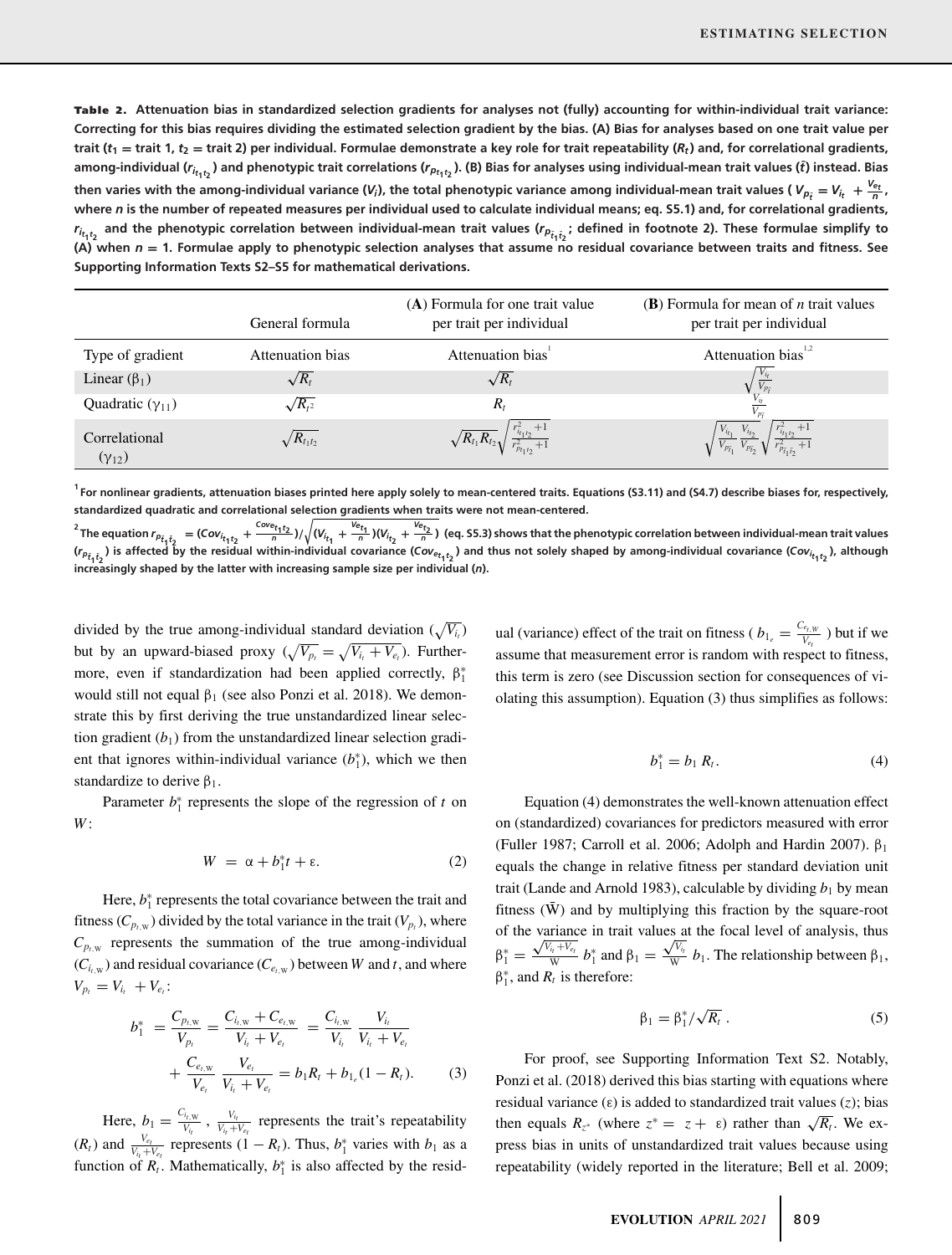Table 2. Attenuation bias in standardized selection gradients for analyses not (fully) accounting for within-individual trait variance: **Correcting for this bias requires dividing the estimated selection gradient by the bias. (A) Bias for analyses based on one trait value per** trait  $(t_1 = \text{train } 1, t_2 = \text{train } 2)$  per individual. Formulae demonstrate a key role for trait repeatability  $(R_t)$  and, for correlational gradients, among-individual ( $r_{i_{t_1t_2}}$ ) and phenotypic trait correlations ( $r_{p_{t_1t_2}}$ ). (B) Bias for analyses using individual-mean trait values (t̄) instead. Bias then varies with the among-individual variance (*V<sub>i</sub>*), the total phenotypic variance among individual-mean trait values ( $V_{p_i} = V_{i_t} + \frac{V_{e_t}}{n}$ , **where** *n* **is the number of repeated measures per individual used to calculate individual means; eq. S5.1) and, for correlational gradients,**  $r_{i_{t_1t_2}}$  and the phenotypic correlation between individual-mean trait values ( $r_{p_{\tilde{t}_1\tilde{t}_2}}$ ; defined in footnote 2). These formulae simplify to **(A) when** *<sup>n</sup>* **<sup>=</sup> 1. Formulae apply to phenotypic selection analyses that assume no residual covariance between traits and fitness. See Supporting Information Texts S2–S5 for mathematical derivations.**

|                                  | General formula     | (A) Formula for one trait value<br>per trait per individual                 | (B) Formula for mean of $n$ trait values<br>per trait per individual                                                                                                                     |
|----------------------------------|---------------------|-----------------------------------------------------------------------------|------------------------------------------------------------------------------------------------------------------------------------------------------------------------------------------|
| Type of gradient                 | Attenuation bias    | Attenuation bias <sup>1</sup>                                               | Attenuation bias <sup>1,2</sup>                                                                                                                                                          |
| Linear $(\beta_1)$               | $\sqrt{R_t}$        | $\sqrt{R_t}$                                                                |                                                                                                                                                                                          |
| Quadratic $(\gamma_{11})$        | $\sqrt{R_{t^2}}$    | $R_{t}$                                                                     |                                                                                                                                                                                          |
| Correlational<br>$(\gamma_{12})$ | $\sqrt{R_{t_1t_2}}$ | $\sqrt{R_{t_1}R_{t_2}}\sqrt{\frac{r_{i_{t_1t_2}}^2+1}{r_{p_{t_1t_2}}^2+1}}$ | $\frac{r_{i_1i_2}^2+1}{r_{p_{\bar{i}_1\bar{i}_2}}^2+1}$<br>$\sqrt{\frac{V_{i_{t_1}}}{V_{p_{\bar t_1}}}} \frac{V_{i_{t_2}}}{V_{p_{\bar t_2}}}\sqrt{\frac{V_{i_{t_1}}}{V_{p_{\bar t_2}}}}$ |

**1 For nonlinear gradients, attenuation biases printed here apply solely to mean-centered traits. Equations (S3.11) and (S4.7) describe biases for, respectively, standardized quadratic and correlational selection gradients when traits were not mean-centered.**

<sup>2</sup> The equation  $r_{p_{\tilde{t}_1\tilde{t}_2}} = (Cov_{i_{\tilde{t}_1\tilde{t}_2}} + \frac{Cov_{i_{\tilde{t}_1\tilde{t}_2}}}{n})/\sqrt{(V_{i_{\tilde{t}_1}} + \frac{V_{e_{\tilde{t}_1}}}{n})(V_{i_{\tilde{t}_2}} + \frac{V_{e_{\tilde{t}_2}}}{n})}$  (eq. S5.3) shows that the phenotypic correlation between individual  $(r_{\rho_{\tilde{t}_1\tilde{t}_2}})$  is affected by the residual within-individual covariance (Cov<sub>et, t</sup>2) and thus not solely shaped by among-individual covariance (Cov<sub>it, t</sup>2</sub>), although</sub> **increasingly shaped by the latter with increasing sample size per individual (***n***).**

divided by the true among-individual standard deviation  $(\sqrt{V_{i}})$ but by an upward-biased proxy  $(\sqrt{V_{p_t}} = \sqrt{V_{i_t} + V_{e_t}})$ . Furthermore, even if standardization had been applied correctly,  $\beta_1^*$ would still not equal  $\beta_1$  (see also Ponzi et al. 2018). We demonstrate this by first deriving the true unstandardized linear selection gradient  $(b_1)$  from the unstandardized linear selection gradient that ignores within-individual variance  $(b_1^*)$ , which we then standardize to derive  $\beta_1$ .

Parameter  $b_1^*$  represents the slope of the regression of  $t$  on *W* :

$$
W = \alpha + b_1^* t + \varepsilon. \tag{2}
$$

Here,  $b_1^*$  represents the total covariance between the trait and fitness ( $C_{p_t,w}$ ) divided by the total variance in the trait ( $V_{p_t}$ ), where  $C_{p,w}$  represents the summation of the true among-individual  $(C_{i_tw})$  and residual covariance  $(C_{e_tw})$  between *W* and *t*, and where  $V_{p_t} = V_{i_t} + V_{e_t}$ :

$$
b_1^* = \frac{C_{p_{t,W}}}{V_{p_t}} = \frac{C_{i_{t,W}} + C_{e_{t,W}}}{V_{i_t} + V_{e_t}} = \frac{C_{i_{t,W}}}{V_{i_t}} \frac{V_{i_t}}{V_{i_t} + V_{e_t}} + \frac{C_{e_{t,W}}}{V_{e_t}} \frac{V_{e_t}}{V_{i_t} + V_{e_t}} = b_1 R_t + b_{1_e} (1 - R_t).
$$
 (3)

Here,  $b_1 = \frac{C_{i, w}}{V_{i_t}}$ ,  $\frac{V_{i_t}}{V_{i_t} + V_{e_t}}$  represents the trait's repeatability  $(R_t)$  and  $\frac{V_{e_t}}{V_{i_t} + V_{e_t}}$  represents  $(1 - R_t)$ . Thus,  $b_1^*$  varies with  $b_1$  as a function of  $R_t$ . Mathematically,  $b_1^*$  is also affected by the resid-

ual (variance) effect of the trait on fitness ( $b_{1_e} = \frac{C_{e_t,y_f}}{V_{e_t}}$ ) but if we assume that measurement error is random with respect to fitness, this term is zero (see Discussion section for consequences of violating this assumption). Equation (3) thus simplifies as follows:

$$
b_1^* = b_1 R_t. \tag{4}
$$

Equation (4) demonstrates the well-known attenuation effect on (standardized) covariances for predictors measured with error (Fuller 1987; Carroll et al. 2006; Adolph and Hardin 2007).  $\beta_1$ equals the change in relative fitness per standard deviation unit trait (Lande and Arnold 1983), calculable by dividing  $b_1$  by mean fitness  $(\bar{W})$  and by multiplying this fraction by the square-root of the variance in trait values at the focal level of analysis, thus  $β_1^* = \frac{\sqrt{v_{i_t} + v_{e_t}}}{\bar{w}} b_1^*$  and  $β_1 =$  $\sqrt{V_{i_t}}$  $\frac{\partial V_{t_i}}{\partial \bar{V}}$  *b*<sub>1</sub>. The relationship between  $\beta_1$ ,  $\beta_1^*$ , and  $R_t$  is therefore:

$$
\beta_1 = \beta_1^* / \sqrt{R_t} \ . \tag{5}
$$

For proof, see Supporting Information Text S2. Notably, Ponzi et al. (2018) derived this bias starting with equations where residual variance (ε) is added to standardized trait values (*z*); bias then equals  $R_{z^*}$  (where  $z^* = z + \varepsilon$ ) rather than  $\sqrt{R_t}$ . We express bias in units of unstandardized trait values because using repeatability (widely reported in the literature; Bell et al. 2009;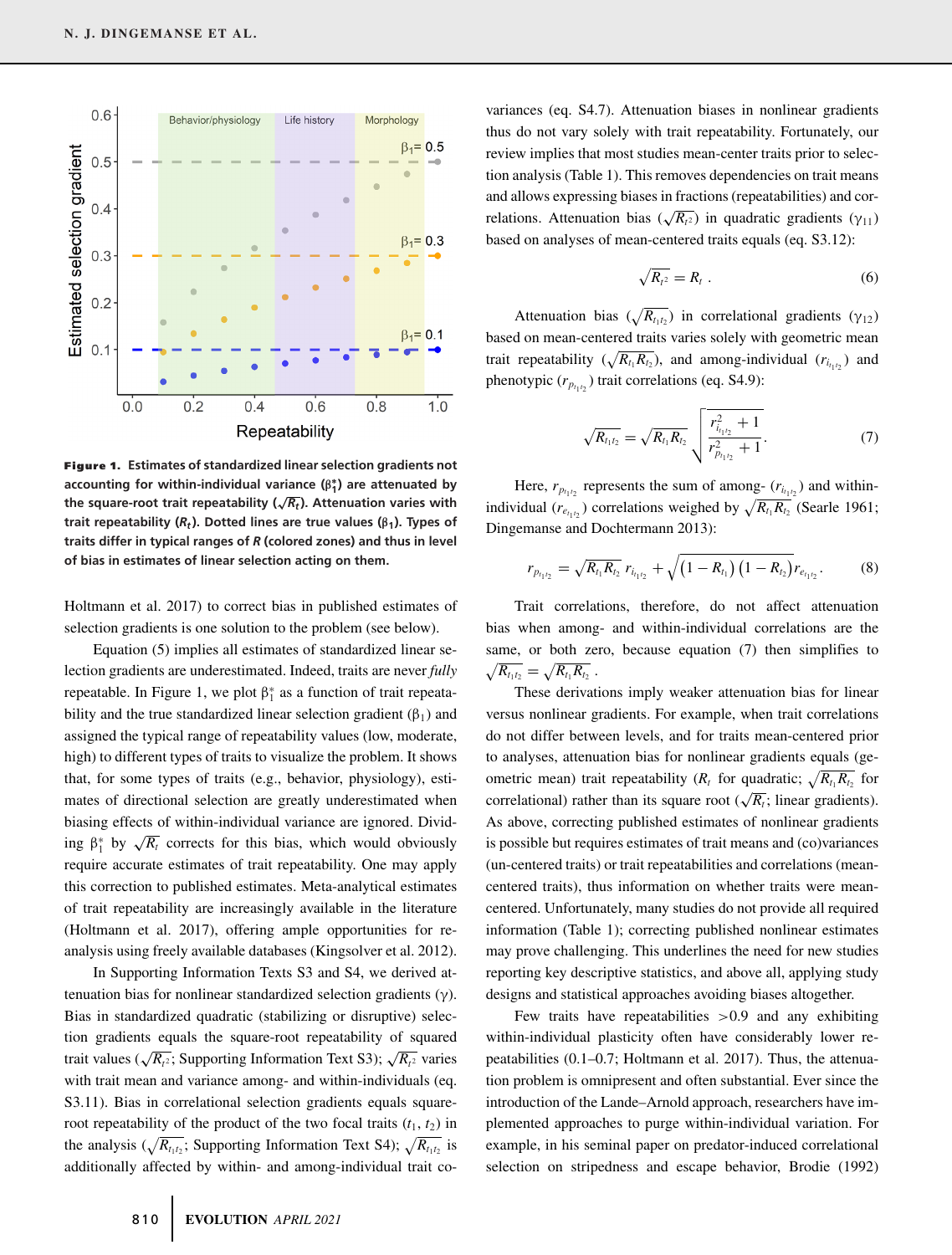

**Figure 1. Estimates of standardized linear selection gradients not accounting for within-individual variance (β∗ <sup>1</sup>) are attenuated by** the square-root trait repeatability  $(\sqrt{R_t})$ . Attenuation varies with **trait repeatability (***Rt***). Dotted lines are true values (β1). Types of traits differ in typical ranges of** *R* **(colored zones) and thus in level of bias in estimates of linear selection acting on them.**

Holtmann et al. 2017) to correct bias in published estimates of selection gradients is one solution to the problem (see below).

Equation (5) implies all estimates of standardized linear selection gradients are underestimated. Indeed, traits are never *fully* repeatable. In Figure 1, we plot  $\beta_1^*$  as a function of trait repeatability and the true standardized linear selection gradient  $(\beta_1)$  and assigned the typical range of repeatability values (low, moderate, high) to different types of traits to visualize the problem. It shows that, for some types of traits (e.g., behavior, physiology), estimates of directional selection are greatly underestimated when biasing effects of within-individual variance are ignored. Dividing  $\beta_1^*$  by  $\sqrt{R_t}$  corrects for this bias, which would obviously require accurate estimates of trait repeatability. One may apply this correction to published estimates. Meta-analytical estimates of trait repeatability are increasingly available in the literature (Holtmann et al. 2017), offering ample opportunities for reanalysis using freely available databases (Kingsolver et al. 2012).

In Supporting Information Texts S3 and S4, we derived attenuation bias for nonlinear standardized selection gradients (γ). Bias in standardized quadratic (stabilizing or disruptive) selection gradients equals the square-root repeatability of squared trait values ( $\sqrt{R_{t^2}}$ ; Supporting Information Text S3);  $\sqrt{R_{t^2}}$  varies with trait mean and variance among- and within-individuals (eq. S3.11). Bias in correlational selection gradients equals squareroot repeatability of the product of the two focal traits  $(t_1, t_2)$  in the analysis ( $\sqrt{R_{t_1t_2}}$ ; Supporting Information Text S4);  $\sqrt{R_{t_1t_2}}$  is additionally affected by within- and among-individual trait covariances (eq. S4.7). Attenuation biases in nonlinear gradients thus do not vary solely with trait repeatability. Fortunately, our review implies that most studies mean-center traits prior to selection analysis (Table 1). This removes dependencies on trait means and allows expressing biases in fractions (repeatabilities) and correlations. Attenuation bias  $(\sqrt{R_1^2})$  in quadratic gradients (γ<sub>11</sub>) based on analyses of mean-centered traits equals (eq. S3.12):

$$
\sqrt{R_{t^2}} = R_t \ . \tag{6}
$$

Attenuation bias  $(\sqrt{R_{t_1t_2}})$  in correlational gradients  $(\gamma_{12})$ based on mean-centered traits varies solely with geometric mean trait repeatability  $(\sqrt{R_{t_1}R_{t_2}})$ , and among-individual  $(r_{t_1t_2})$  and phenotypic  $(r_{p_{t_1 t_2}})$  trait correlations (eq. S4.9):

$$
\sqrt{R_{t_1t_2}} = \sqrt{R_{t_1}R_{t_2}} \sqrt{\frac{r_{i_{t_1t_2}}^2 + 1}{r_{p_{t_1t_2}}^2 + 1}}.
$$
\n(7)

Here,  $r_{p_{t_1t_2}}$  represents the sum of among-  $(r_{i_{t_1t_2}})$  and withinindividual ( $r_{e_{t_1t_2}}$ ) correlations weighed by  $\sqrt{R_{t_1}R_{t_2}}$  (Searle 1961; Dingemanse and Dochtermann 2013):

$$
r_{p_{t_1t_2}} = \sqrt{R_{t_1}R_{t_2}} \; r_{t_{t_1t_2}} + \sqrt{\left(1 - R_{t_1}\right)\left(1 - R_{t_2}\right)} r_{e_{t_1t_2}}.\tag{8}
$$

Trait correlations, therefore, do not affect attenuation bias when among- and within-individual correlations are the same, or both zero, because equation (7) then simplifies to  $\sqrt{R_{t_1t_2}} = \sqrt{R_{t_1}R_{t_2}}$  .

These derivations imply weaker attenuation bias for linear versus nonlinear gradients. For example, when trait correlations do not differ between levels, and for traits mean-centered prior to analyses, attenuation bias for nonlinear gradients equals (geometric mean) trait repeatability ( $R_t$  for quadratic;  $\sqrt{R_{t_1}R_{t_2}}$  for correlational) rather than its square root ( $\sqrt{R_t}$ ; linear gradients). As above, correcting published estimates of nonlinear gradients is possible but requires estimates of trait means and (co)variances (un-centered traits) or trait repeatabilities and correlations (meancentered traits), thus information on whether traits were meancentered. Unfortunately, many studies do not provide all required information (Table 1); correcting published nonlinear estimates may prove challenging. This underlines the need for new studies reporting key descriptive statistics, and above all, applying study designs and statistical approaches avoiding biases altogether.

Few traits have repeatabilities  $>0.9$  and any exhibiting within-individual plasticity often have considerably lower repeatabilities (0.1–0.7; Holtmann et al. 2017). Thus, the attenuation problem is omnipresent and often substantial. Ever since the introduction of the Lande–Arnold approach, researchers have implemented approaches to purge within-individual variation. For example, in his seminal paper on predator-induced correlational selection on stripedness and escape behavior, Brodie (1992)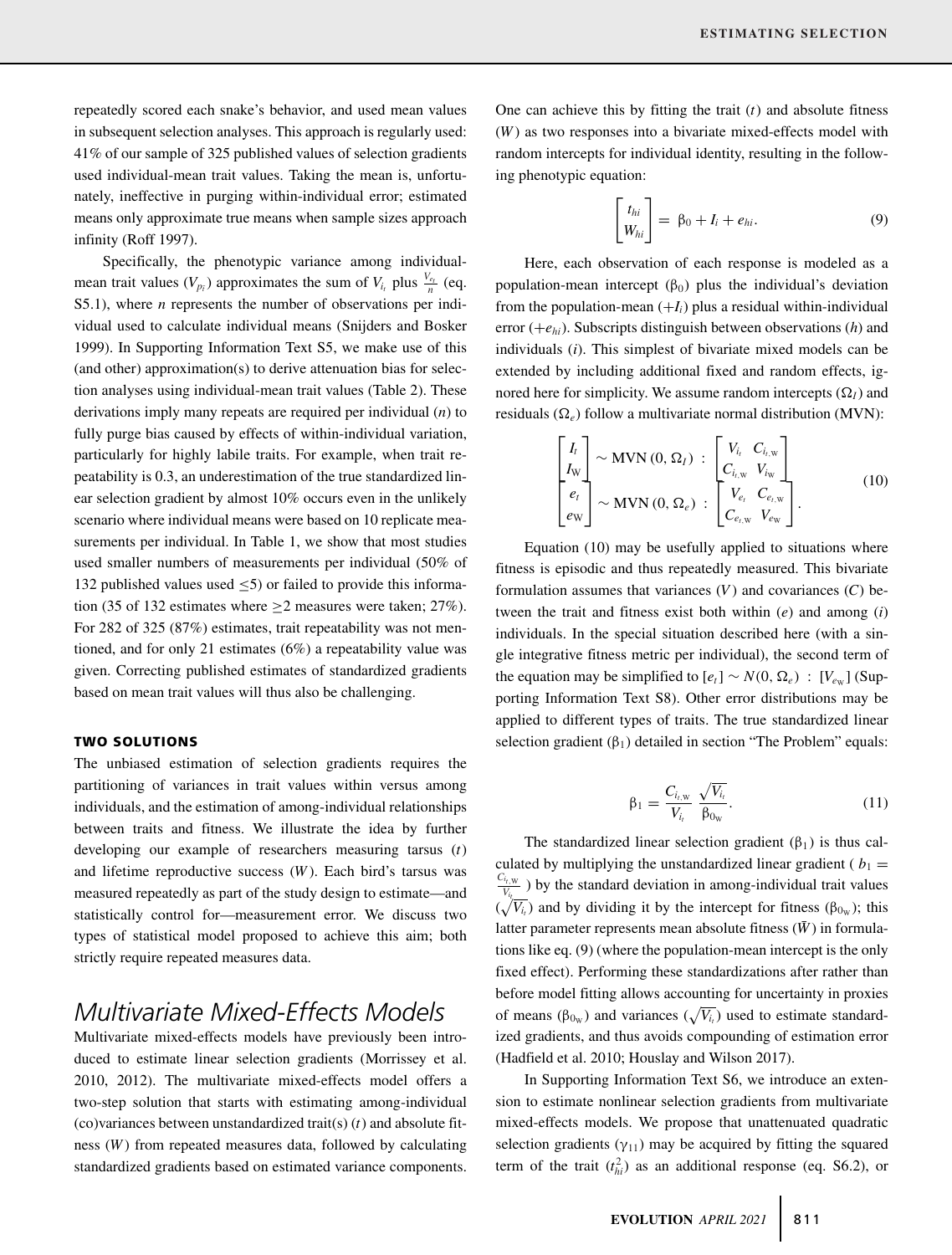repeatedly scored each snake's behavior, and used mean values in subsequent selection analyses. This approach is regularly used: 41% of our sample of 325 published values of selection gradients used individual-mean trait values. Taking the mean is, unfortunately, ineffective in purging within-individual error; estimated means only approximate true means when sample sizes approach infinity (Roff 1997).

Specifically, the phenotypic variance among individualmean trait values  $(V_{p_i})$  approximates the sum of  $V_{i_i}$  plus  $\frac{V_{e_i}}{n}$  (eq. S5.1), where *n* represents the number of observations per individual used to calculate individual means (Snijders and Bosker 1999). In Supporting Information Text S5, we make use of this (and other) approximation(s) to derive attenuation bias for selection analyses using individual-mean trait values (Table 2). These derivations imply many repeats are required per individual (*n*) to fully purge bias caused by effects of within-individual variation, particularly for highly labile traits. For example, when trait repeatability is 0.3, an underestimation of the true standardized linear selection gradient by almost 10% occurs even in the unlikely scenario where individual means were based on 10 replicate measurements per individual. In Table 1, we show that most studies used smaller numbers of measurements per individual (50% of 132 published values used  $\leq$ 5) or failed to provide this information (35 of 132 estimates where  $\geq$ 2 measures were taken; 27%). For 282 of 325 (87%) estimates, trait repeatability was not mentioned, and for only 21 estimates (6%) a repeatability value was given. Correcting published estimates of standardized gradients based on mean trait values will thus also be challenging.

#### **TWO SOLUTIONS**

The unbiased estimation of selection gradients requires the partitioning of variances in trait values within versus among individuals, and the estimation of among-individual relationships between traits and fitness. We illustrate the idea by further developing our example of researchers measuring tarsus (*t*) and lifetime reproductive success (*W* ). Each bird's tarsus was measured repeatedly as part of the study design to estimate—and statistically control for—measurement error. We discuss two types of statistical model proposed to achieve this aim; both strictly require repeated measures data.

# *Multivariate Mixed-Effects Models*

Multivariate mixed-effects models have previously been introduced to estimate linear selection gradients (Morrissey et al. 2010, 2012). The multivariate mixed-effects model offers a two-step solution that starts with estimating among-individual (co)variances between unstandardized trait(s) (*t*) and absolute fitness (*W* ) from repeated measures data, followed by calculating standardized gradients based on estimated variance components.

One can achieve this by fitting the trait (*t*) and absolute fitness (*W* ) as two responses into a bivariate mixed-effects model with random intercepts for individual identity, resulting in the following phenotypic equation:

$$
\begin{bmatrix} t_{hi} \\ W_{hi} \end{bmatrix} = \beta_0 + I_i + e_{hi}. \tag{9}
$$

Here, each observation of each response is modeled as a population-mean intercept  $(\beta_0)$  plus the individual's deviation from the population-mean  $(+I<sub>i</sub>)$  plus a residual within-individual error (+*ehi*). Subscripts distinguish between observations (*h*) and individuals (*i*). This simplest of bivariate mixed models can be extended by including additional fixed and random effects, ignored here for simplicity. We assume random intercepts  $(\Omega_I)$  and residuals  $(\Omega_e)$  follow a multivariate normal distribution (MVN):

$$
\begin{bmatrix} I_t \\ I_{\rm W} \\ e_t \\ e_{\rm W} \end{bmatrix} \sim \text{MVN}(0, \Omega_I) : \begin{bmatrix} V_{i_t} & C_{i_{t, \rm W}} \\ C_{i_{t, \rm W}} & V_{i_{\rm W}} \\ V_{e_t} & C_{e_{t, \rm W}} \\ C_{e_{t, \rm W}} & V_{e_{\rm W}} \end{bmatrix} \tag{10}
$$

Equation (10) may be usefully applied to situations where fitness is episodic and thus repeatedly measured. This bivariate formulation assumes that variances  $(V)$  and covariances  $(C)$  between the trait and fitness exist both within (*e*) and among (*i*) individuals. In the special situation described here (with a single integrative fitness metric per individual), the second term of the equation may be simplified to  $[e_t] \sim N(0, \Omega_e)$ :  $[V_{e_W}]$  (Supporting Information Text S8). Other error distributions may be applied to different types of traits. The true standardized linear selection gradient  $(\beta_1)$  detailed in section "The Problem" equals:

$$
\beta_1 = \frac{C_{i, \text{w}}}{V_{i_t}} \frac{\sqrt{V_{i_t}}}{\beta_{0\text{w}}}.
$$
\n(11)

The standardized linear selection gradient  $(\beta_1)$  is thus calculated by multiplying the unstandardized linear gradient ( $b_1$  =  $\frac{v_t \mathbf{W}}{V_{t_t}}$  by the standard deviation in among-individual trait values  $(\sqrt{V_{i_t}})$  and by dividing it by the intercept for fitness ( $\beta_{0_W}$ ); this latter parameter represents mean absolute fitness  $(\bar{W})$  in formulations like eq. (9) (where the population-mean intercept is the only fixed effect). Performing these standardizations after rather than before model fitting allows accounting for uncertainty in proxies of means ( $\beta_{0w}$ ) and variances ( $\sqrt{V_{i}}$ ) used to estimate standardized gradients, and thus avoids compounding of estimation error (Hadfield et al. 2010; Houslay and Wilson 2017).

In Supporting Information Text S6, we introduce an extension to estimate nonlinear selection gradients from multivariate mixed-effects models. We propose that unattenuated quadratic selection gradients  $(\gamma_{11})$  may be acquired by fitting the squared term of the trait  $(t_{hi}^2)$  as an additional response (eq. S6.2), or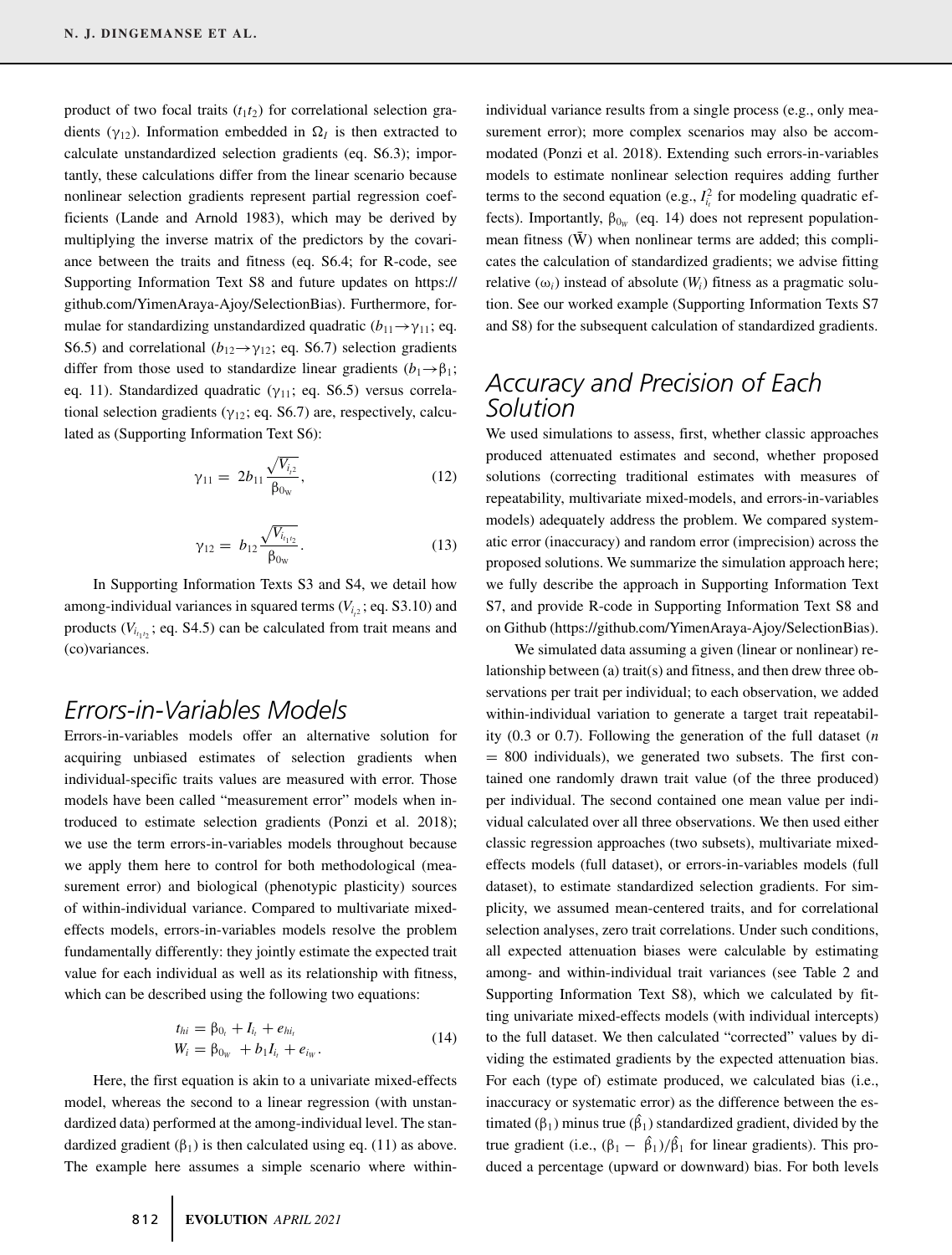product of two focal traits  $(t_1 t_2)$  for correlational selection gradients ( $\gamma_{12}$ ). Information embedded in  $\Omega_I$  is then extracted to calculate unstandardized selection gradients (eq. S6.3); importantly, these calculations differ from the linear scenario because nonlinear selection gradients represent partial regression coefficients (Lande and Arnold 1983), which may be derived by multiplying the inverse matrix of the predictors by the covariance between the traits and fitness (eq. S6.4; for R-code, see Supporting Information Text S8 and future updates on [https://](https://github.com/YimenAraya-Ajoy/SelectionBias) [github.com/YimenAraya-Ajoy/SelectionBias\)](https://github.com/YimenAraya-Ajoy/SelectionBias). Furthermore, formulae for standardizing unstandardized quadratic  $(b_{11} \rightarrow \gamma_{11})$ ; eq. S6.5) and correlational ( $b_{12} \rightarrow \gamma_{12}$ ; eq. S6.7) selection gradients differ from those used to standardize linear gradients  $(b_1 \rightarrow \beta_1;$ eq. 11). Standardized quadratic ( $\gamma_{11}$ ; eq. S6.5) versus correlational selection gradients ( $\gamma_{12}$ ; eq. S6.7) are, respectively, calculated as (Supporting Information Text S6):

$$
\gamma_{11} = 2b_{11} \frac{\sqrt{V_{i,2}}}{\beta_{0w}},\tag{12}
$$

$$
\gamma_{12} = b_{12} \frac{\sqrt{V_{i_{t_1 t_2}}}}{\beta_{0_{\rm W}}}.
$$
\n(13)

In Supporting Information Texts S3 and S4, we detail how among-individual variances in squared terms  $(V_{i<sub>2</sub>};$  eq. S3.10) and products  $(V_{i_{t_1 i_2}}; \text{eq. S4.5})$  can be calculated from trait means and (co)variances.

### *Errors-in-Variables Models*

Errors-in-variables models offer an alternative solution for acquiring unbiased estimates of selection gradients when individual-specific traits values are measured with error. Those models have been called "measurement error" models when introduced to estimate selection gradients (Ponzi et al. 2018); we use the term errors-in-variables models throughout because we apply them here to control for both methodological (measurement error) and biological (phenotypic plasticity) sources of within-individual variance. Compared to multivariate mixedeffects models, errors-in-variables models resolve the problem fundamentally differently: they jointly estimate the expected trait value for each individual as well as its relationship with fitness, which can be described using the following two equations:

$$
t_{hi} = \beta_{0_i} + I_{i_t} + e_{hi_t}
$$
  
\n
$$
W_i = \beta_{0_W} + b_1 I_{i_t} + e_{i_W}.
$$
\n(14)

Here, the first equation is akin to a univariate mixed-effects model, whereas the second to a linear regression (with unstandardized data) performed at the among-individual level. The standardized gradient  $(\beta_1)$  is then calculated using eq. (11) as above. The example here assumes a simple scenario where withinindividual variance results from a single process (e.g., only measurement error); more complex scenarios may also be accommodated (Ponzi et al. 2018). Extending such errors-in-variables models to estimate nonlinear selection requires adding further terms to the second equation (e.g.,  $I_{i}^2$  for modeling quadratic effects). Importantly,  $\beta_{0_W}$  (eq. 14) does not represent populationmean fitness  $(\bar{W})$  when nonlinear terms are added; this complicates the calculation of standardized gradients; we advise fitting relative  $(\omega_i)$  instead of absolute  $(W_i)$  fitness as a pragmatic solution. See our worked example (Supporting Information Texts S7 and S8) for the subsequent calculation of standardized gradients.

# *Accuracy and Precision of Each Solution*

We used simulations to assess, first, whether classic approaches produced attenuated estimates and second, whether proposed solutions (correcting traditional estimates with measures of repeatability, multivariate mixed-models, and errors-in-variables models) adequately address the problem. We compared systematic error (inaccuracy) and random error (imprecision) across the proposed solutions. We summarize the simulation approach here; we fully describe the approach in Supporting Information Text S7, and provide R-code in Supporting Information Text S8 and on Github [\(https://github.com/YimenAraya-Ajoy/SelectionBias\)](https://github.com/YimenAraya-Ajoy/SelectionBias).

We simulated data assuming a given (linear or nonlinear) relationship between (a) trait(s) and fitness, and then drew three observations per trait per individual; to each observation, we added within-individual variation to generate a target trait repeatability (0.3 or 0.7). Following the generation of the full dataset (*n* = 800 individuals), we generated two subsets. The first contained one randomly drawn trait value (of the three produced) per individual. The second contained one mean value per individual calculated over all three observations. We then used either classic regression approaches (two subsets), multivariate mixedeffects models (full dataset), or errors-in-variables models (full dataset), to estimate standardized selection gradients. For simplicity, we assumed mean-centered traits, and for correlational selection analyses, zero trait correlations. Under such conditions, all expected attenuation biases were calculable by estimating among- and within-individual trait variances (see Table 2 and Supporting Information Text S8), which we calculated by fitting univariate mixed-effects models (with individual intercepts) to the full dataset. We then calculated "corrected" values by dividing the estimated gradients by the expected attenuation bias. For each (type of) estimate produced, we calculated bias (i.e., inaccuracy or systematic error) as the difference between the estimated ( $\beta_1$ ) minus true ( $\hat{\beta}_1$ ) standardized gradient, divided by the true gradient (i.e.,  $(\beta_1 - \hat{\beta_1})/\hat{\beta_1}$  for linear gradients). This produced a percentage (upward or downward) bias. For both levels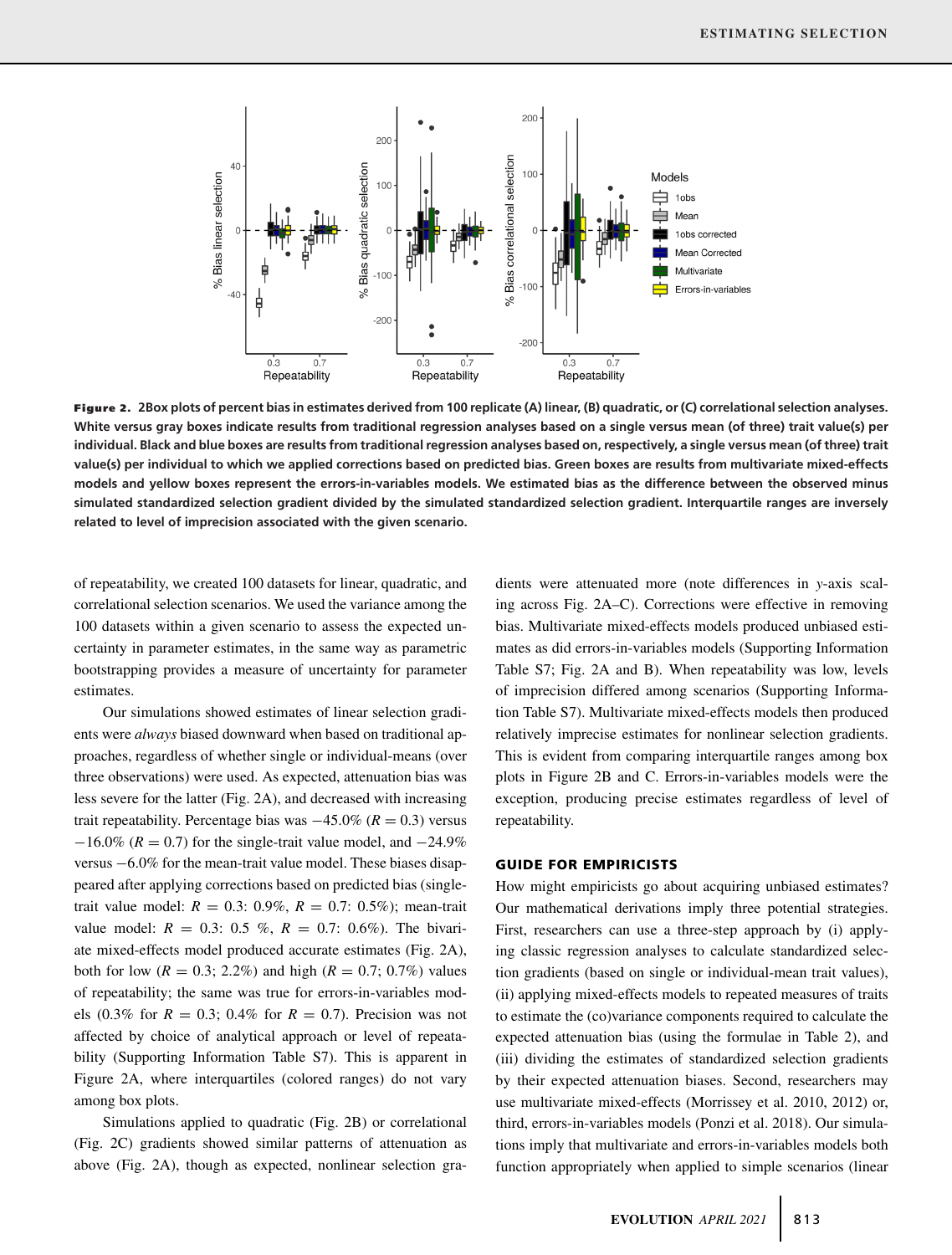

**Figure 2. 2Box plots of percent bias in estimates derived from 100 replicate (A) linear, (B) quadratic, or (C) correlational selection analyses. White versus gray boxes indicate results from traditional regression analyses based on a single versus mean (of three) trait value(s) per individual. Black and blue boxes are results from traditional regression analyses based on, respectively, a single versus mean (of three) trait value(s) per individual to which we applied corrections based on predicted bias. Green boxes are results from multivariate mixed-effects models and yellow boxes represent the errors-in-variables models. We estimated bias as the difference between the observed minus simulated standardized selection gradient divided by the simulated standardized selection gradient. Interquartile ranges are inversely related to level of imprecision associated with the given scenario.**

of repeatability, we created 100 datasets for linear, quadratic, and correlational selection scenarios. We used the variance among the 100 datasets within a given scenario to assess the expected uncertainty in parameter estimates, in the same way as parametric bootstrapping provides a measure of uncertainty for parameter estimates.

Our simulations showed estimates of linear selection gradients were *always* biased downward when based on traditional approaches, regardless of whether single or individual-means (over three observations) were used. As expected, attenuation bias was less severe for the latter (Fig. 2A), and decreased with increasing trait repeatability. Percentage bias was −45.0% (*R* = 0.3) versus  $-16.0\%$  ( $R = 0.7$ ) for the single-trait value model, and  $-24.9\%$ versus −6.0% for the mean-trait value model. These biases disappeared after applying corrections based on predicted bias (singletrait value model:  $R = 0.3$ : 0.9%,  $R = 0.7$ : 0.5%); mean-trait value model:  $R = 0.3$ : 0.5 %,  $R = 0.7$ : 0.6%). The bivariate mixed-effects model produced accurate estimates (Fig. 2A), both for low ( $R = 0.3$ ; 2.2%) and high ( $R = 0.7$ ; 0.7%) values of repeatability; the same was true for errors-in-variables models (0.3% for  $R = 0.3$ ; 0.4% for  $R = 0.7$ ). Precision was not affected by choice of analytical approach or level of repeatability (Supporting Information Table S7). This is apparent in Figure 2A, where interquartiles (colored ranges) do not vary among box plots.

Simulations applied to quadratic (Fig. 2B) or correlational (Fig. 2C) gradients showed similar patterns of attenuation as above (Fig. 2A), though as expected, nonlinear selection gradients were attenuated more (note differences in *y*-axis scaling across Fig. 2A–C). Corrections were effective in removing bias. Multivariate mixed-effects models produced unbiased estimates as did errors-in-variables models (Supporting Information Table S7; Fig. 2A and B). When repeatability was low, levels of imprecision differed among scenarios (Supporting Information Table S7). Multivariate mixed-effects models then produced relatively imprecise estimates for nonlinear selection gradients. This is evident from comparing interquartile ranges among box plots in Figure 2B and C. Errors-in-variables models were the exception, producing precise estimates regardless of level of repeatability.

#### **GUIDE FOR EMPIRICISTS**

How might empiricists go about acquiring unbiased estimates? Our mathematical derivations imply three potential strategies. First, researchers can use a three-step approach by (i) applying classic regression analyses to calculate standardized selection gradients (based on single or individual-mean trait values), (ii) applying mixed-effects models to repeated measures of traits to estimate the (co)variance components required to calculate the expected attenuation bias (using the formulae in Table 2), and (iii) dividing the estimates of standardized selection gradients by their expected attenuation biases. Second, researchers may use multivariate mixed-effects (Morrissey et al. 2010, 2012) or, third, errors-in-variables models (Ponzi et al. 2018). Our simulations imply that multivariate and errors-in-variables models both function appropriately when applied to simple scenarios (linear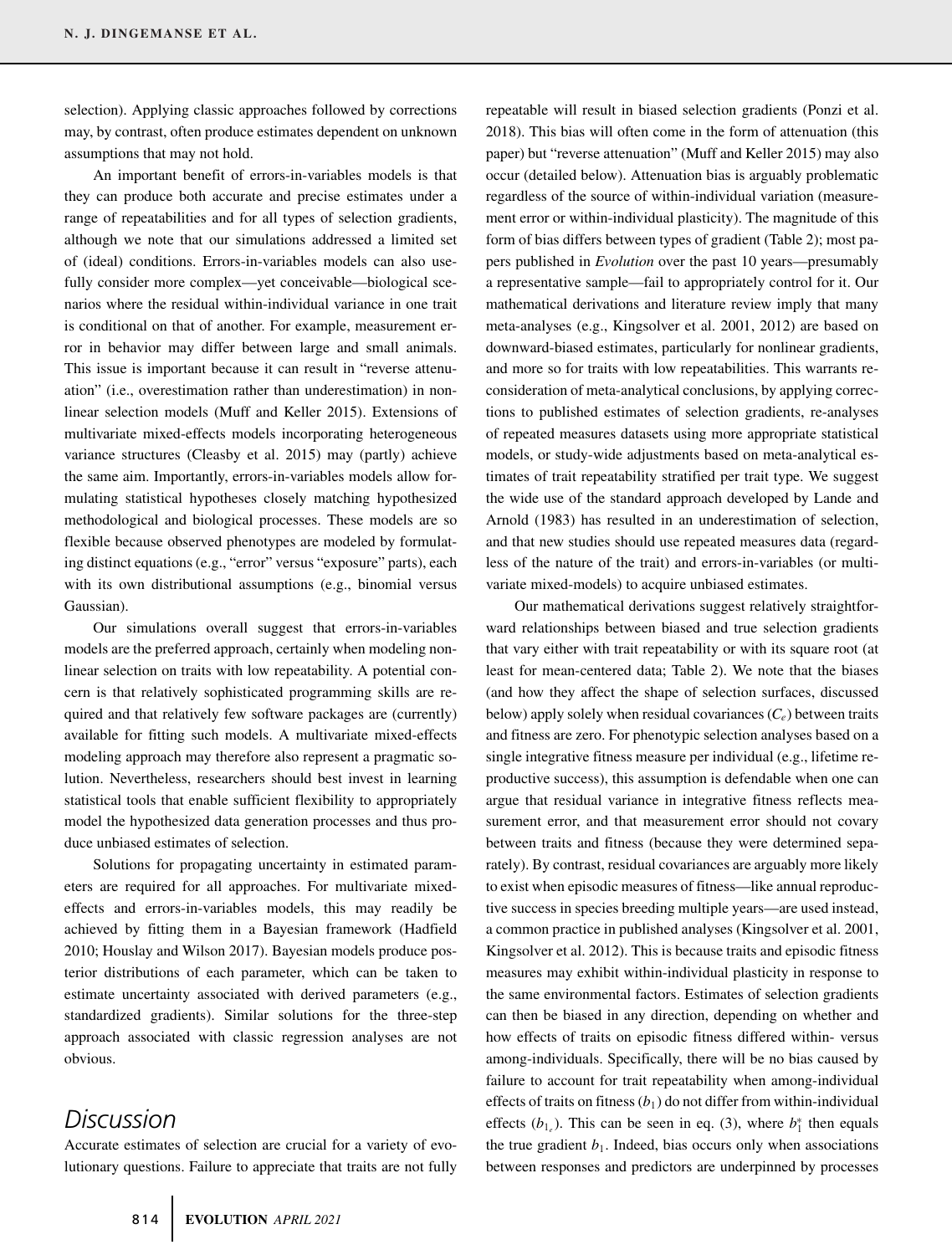selection). Applying classic approaches followed by corrections may, by contrast, often produce estimates dependent on unknown assumptions that may not hold.

An important benefit of errors-in-variables models is that they can produce both accurate and precise estimates under a range of repeatabilities and for all types of selection gradients, although we note that our simulations addressed a limited set of (ideal) conditions. Errors-in-variables models can also usefully consider more complex—yet conceivable—biological scenarios where the residual within-individual variance in one trait is conditional on that of another. For example, measurement error in behavior may differ between large and small animals. This issue is important because it can result in "reverse attenuation" (i.e., overestimation rather than underestimation) in nonlinear selection models (Muff and Keller 2015). Extensions of multivariate mixed-effects models incorporating heterogeneous variance structures (Cleasby et al. 2015) may (partly) achieve the same aim. Importantly, errors-in-variables models allow formulating statistical hypotheses closely matching hypothesized methodological and biological processes. These models are so flexible because observed phenotypes are modeled by formulating distinct equations (e.g., "error" versus "exposure" parts), each with its own distributional assumptions (e.g., binomial versus Gaussian).

Our simulations overall suggest that errors-in-variables models are the preferred approach, certainly when modeling nonlinear selection on traits with low repeatability. A potential concern is that relatively sophisticated programming skills are required and that relatively few software packages are (currently) available for fitting such models. A multivariate mixed-effects modeling approach may therefore also represent a pragmatic solution. Nevertheless, researchers should best invest in learning statistical tools that enable sufficient flexibility to appropriately model the hypothesized data generation processes and thus produce unbiased estimates of selection.

Solutions for propagating uncertainty in estimated parameters are required for all approaches. For multivariate mixedeffects and errors-in-variables models, this may readily be achieved by fitting them in a Bayesian framework (Hadfield 2010; Houslay and Wilson 2017). Bayesian models produce posterior distributions of each parameter, which can be taken to estimate uncertainty associated with derived parameters (e.g., standardized gradients). Similar solutions for the three-step approach associated with classic regression analyses are not obvious.

## *Discussion*

Accurate estimates of selection are crucial for a variety of evolutionary questions. Failure to appreciate that traits are not fully 2018). This bias will often come in the form of attenuation (this paper) but "reverse attenuation" (Muff and Keller 2015) may also occur (detailed below). Attenuation bias is arguably problematic regardless of the source of within-individual variation (measurement error or within-individual plasticity). The magnitude of this form of bias differs between types of gradient (Table 2); most papers published in *Evolution* over the past 10 years—presumably a representative sample—fail to appropriately control for it. Our mathematical derivations and literature review imply that many meta-analyses (e.g., Kingsolver et al. 2001, 2012) are based on downward-biased estimates, particularly for nonlinear gradients, and more so for traits with low repeatabilities. This warrants reconsideration of meta-analytical conclusions, by applying corrections to published estimates of selection gradients, re-analyses of repeated measures datasets using more appropriate statistical models, or study-wide adjustments based on meta-analytical estimates of trait repeatability stratified per trait type. We suggest the wide use of the standard approach developed by Lande and Arnold (1983) has resulted in an underestimation of selection, and that new studies should use repeated measures data (regardless of the nature of the trait) and errors-in-variables (or multivariate mixed-models) to acquire unbiased estimates.

repeatable will result in biased selection gradients (Ponzi et al.

Our mathematical derivations suggest relatively straightforward relationships between biased and true selection gradients that vary either with trait repeatability or with its square root (at least for mean-centered data; Table 2). We note that the biases (and how they affect the shape of selection surfaces, discussed below) apply solely when residual covariances  $(C_e)$  between traits and fitness are zero. For phenotypic selection analyses based on a single integrative fitness measure per individual (e.g., lifetime reproductive success), this assumption is defendable when one can argue that residual variance in integrative fitness reflects measurement error, and that measurement error should not covary between traits and fitness (because they were determined separately). By contrast, residual covariances are arguably more likely to exist when episodic measures of fitness—like annual reproductive success in species breeding multiple years—are used instead, a common practice in published analyses (Kingsolver et al. 2001, Kingsolver et al. 2012). This is because traits and episodic fitness measures may exhibit within-individual plasticity in response to the same environmental factors. Estimates of selection gradients can then be biased in any direction, depending on whether and how effects of traits on episodic fitness differed within- versus among-individuals. Specifically, there will be no bias caused by failure to account for trait repeatability when among-individual effects of traits on fitness  $(b_1)$  do not differ from within-individual effects  $(b_{1_e})$ . This can be seen in eq. (3), where  $b_1^*$  then equals the true gradient  $b_1$ . Indeed, bias occurs only when associations between responses and predictors are underpinned by processes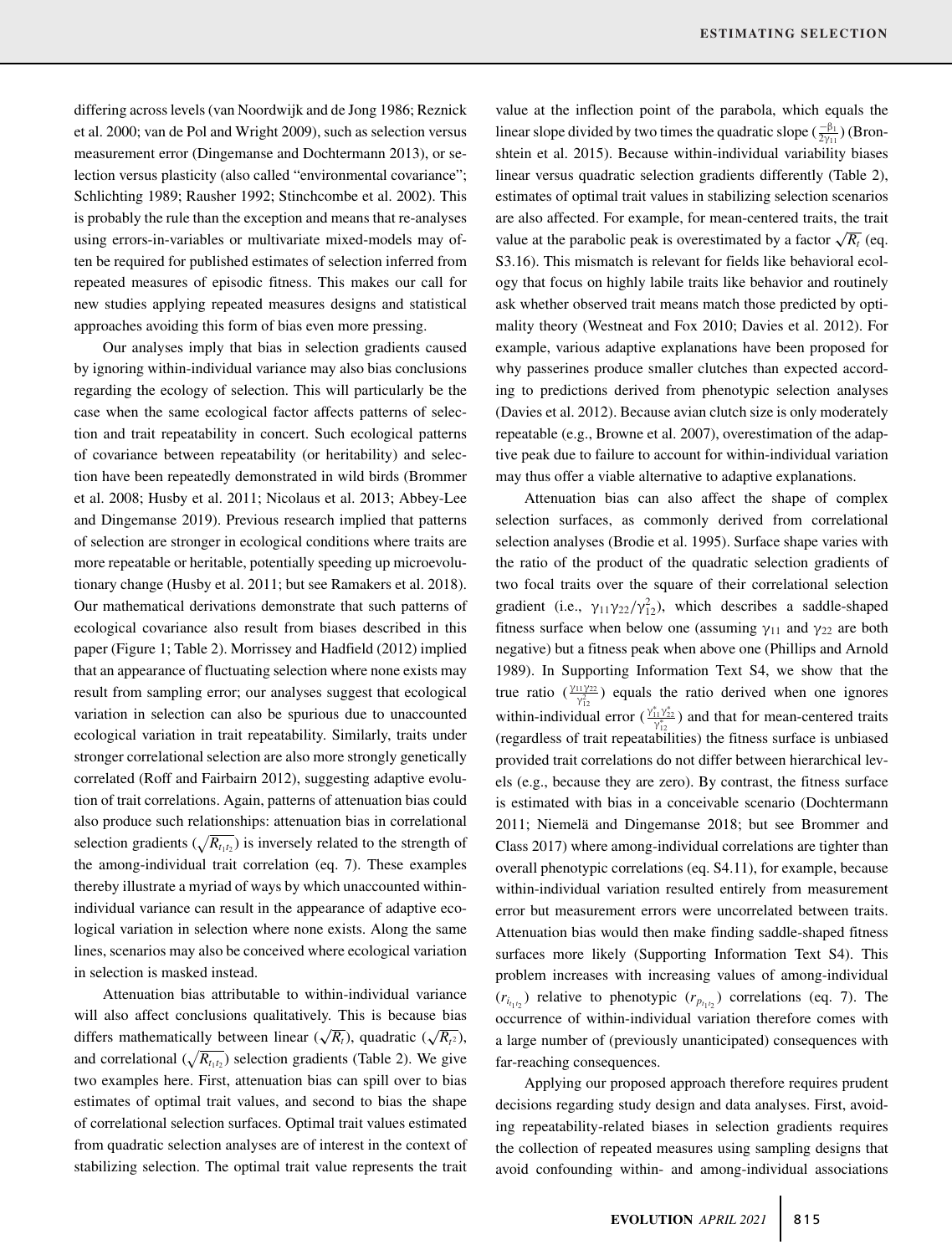differing across levels (van Noordwijk and de Jong 1986; Reznick et al. 2000; van de Pol and Wright 2009), such as selection versus measurement error (Dingemanse and Dochtermann 2013), or selection versus plasticity (also called "environmental covariance"; Schlichting 1989; Rausher 1992; Stinchcombe et al. 2002). This is probably the rule than the exception and means that re-analyses using errors-in-variables or multivariate mixed-models may often be required for published estimates of selection inferred from repeated measures of episodic fitness. This makes our call for new studies applying repeated measures designs and statistical approaches avoiding this form of bias even more pressing.

Our analyses imply that bias in selection gradients caused by ignoring within-individual variance may also bias conclusions regarding the ecology of selection. This will particularly be the case when the same ecological factor affects patterns of selection and trait repeatability in concert. Such ecological patterns of covariance between repeatability (or heritability) and selection have been repeatedly demonstrated in wild birds (Brommer et al. 2008; Husby et al. 2011; Nicolaus et al. 2013; Abbey-Lee and Dingemanse 2019). Previous research implied that patterns of selection are stronger in ecological conditions where traits are more repeatable or heritable, potentially speeding up microevolutionary change (Husby et al. 2011; but see Ramakers et al. 2018). Our mathematical derivations demonstrate that such patterns of ecological covariance also result from biases described in this paper (Figure 1; Table 2). Morrissey and Hadfield (2012) implied that an appearance of fluctuating selection where none exists may result from sampling error; our analyses suggest that ecological variation in selection can also be spurious due to unaccounted ecological variation in trait repeatability. Similarly, traits under stronger correlational selection are also more strongly genetically correlated (Roff and Fairbairn 2012), suggesting adaptive evolution of trait correlations. Again, patterns of attenuation bias could also produce such relationships: attenuation bias in correlational selection gradients  $(\sqrt{R_{t_1t_2}})$  is inversely related to the strength of the among-individual trait correlation (eq. 7). These examples thereby illustrate a myriad of ways by which unaccounted withinindividual variance can result in the appearance of adaptive ecological variation in selection where none exists. Along the same lines, scenarios may also be conceived where ecological variation in selection is masked instead.

Attenuation bias attributable to within-individual variance will also affect conclusions qualitatively. This is because bias differs mathematically between linear ( $\sqrt{R_t}$ ), quadratic ( $\sqrt{R_t^2}$ ), and correlational  $(\sqrt{R_{t_1t_2}})$  selection gradients (Table 2). We give two examples here. First, attenuation bias can spill over to bias estimates of optimal trait values, and second to bias the shape of correlational selection surfaces. Optimal trait values estimated from quadratic selection analyses are of interest in the context of stabilizing selection. The optimal trait value represents the trait value at the inflection point of the parabola, which equals the linear slope divided by two times the quadratic slope  $(\frac{-\beta_1}{2y_{11}})$  (Bronshtein et al. 2015). Because within-individual variability biases linear versus quadratic selection gradients differently (Table 2), estimates of optimal trait values in stabilizing selection scenarios are also affected. For example, for mean-centered traits, the trait value at the parabolic peak is overestimated by a factor  $\sqrt{R_t}$  (eq. S3.16). This mismatch is relevant for fields like behavioral ecology that focus on highly labile traits like behavior and routinely ask whether observed trait means match those predicted by optimality theory (Westneat and Fox 2010; Davies et al. 2012). For example, various adaptive explanations have been proposed for why passerines produce smaller clutches than expected according to predictions derived from phenotypic selection analyses (Davies et al. 2012). Because avian clutch size is only moderately repeatable (e.g., Browne et al. 2007), overestimation of the adaptive peak due to failure to account for within-individual variation may thus offer a viable alternative to adaptive explanations.

Attenuation bias can also affect the shape of complex selection surfaces, as commonly derived from correlational selection analyses (Brodie et al. 1995). Surface shape varies with the ratio of the product of the quadratic selection gradients of two focal traits over the square of their correlational selection gradient (i.e.,  $\gamma_{11}\gamma_{22}/\gamma_{12}^2$ ), which describes a saddle-shaped fitness surface when below one (assuming  $\gamma_{11}$  and  $\gamma_{22}$  are both negative) but a fitness peak when above one (Phillips and Arnold 1989). In Supporting Information Text S4, we show that the true ratio  $(\frac{\gamma_{11}\gamma_{22}}{\gamma_{12}^2})$  equals the ratio derived when one ignores within-individual error  $(\frac{\gamma_{11}^* \gamma_{22}^*}{\gamma_{12}^*})$  and that for mean-centered traits (regardless of trait repeatabilities) the fitness surface is unbiased provided trait correlations do not differ between hierarchical levels (e.g., because they are zero). By contrast, the fitness surface is estimated with bias in a conceivable scenario (Dochtermann 2011; Niemelä and Dingemanse 2018; but see Brommer and Class 2017) where among-individual correlations are tighter than overall phenotypic correlations (eq. S4.11), for example, because within-individual variation resulted entirely from measurement error but measurement errors were uncorrelated between traits. Attenuation bias would then make finding saddle-shaped fitness surfaces more likely (Supporting Information Text S4). This problem increases with increasing values of among-individual  $(r_{i_{t_1 i_2}})$  relative to phenotypic  $(r_{p_{t_1 i_2}})$  correlations (eq. 7). The occurrence of within-individual variation therefore comes with a large number of (previously unanticipated) consequences with far-reaching consequences.

Applying our proposed approach therefore requires prudent decisions regarding study design and data analyses. First, avoiding repeatability-related biases in selection gradients requires the collection of repeated measures using sampling designs that avoid confounding within- and among-individual associations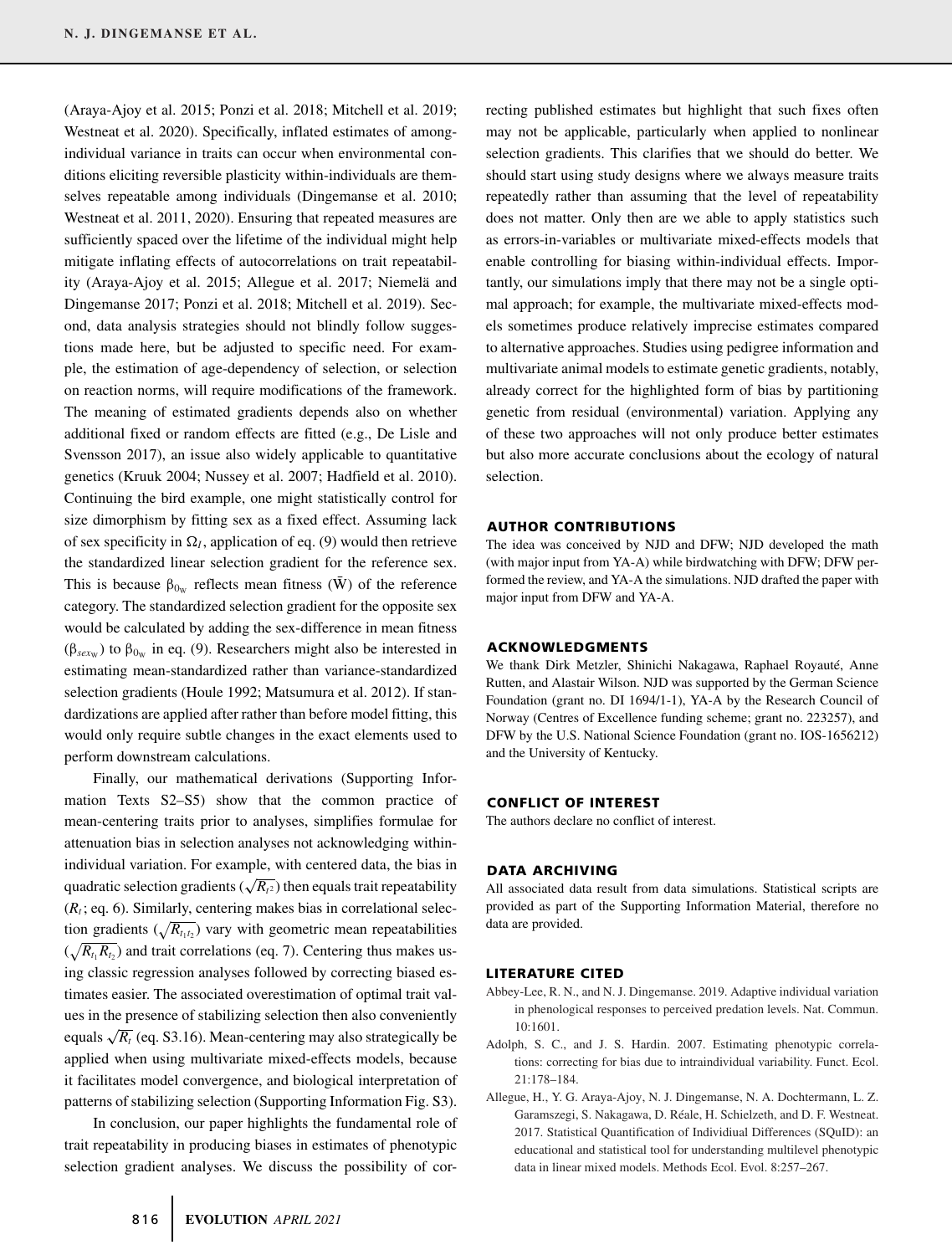(Araya-Ajoy et al. 2015; Ponzi et al. 2018; Mitchell et al. 2019; Westneat et al. 2020). Specifically, inflated estimates of amongindividual variance in traits can occur when environmental conditions eliciting reversible plasticity within-individuals are themselves repeatable among individuals (Dingemanse et al. 2010; Westneat et al. 2011, 2020). Ensuring that repeated measures are sufficiently spaced over the lifetime of the individual might help mitigate inflating effects of autocorrelations on trait repeatability (Araya-Ajoy et al. 2015; Allegue et al. 2017; Niemelä and Dingemanse 2017; Ponzi et al. 2018; Mitchell et al. 2019). Second, data analysis strategies should not blindly follow suggestions made here, but be adjusted to specific need. For example, the estimation of age-dependency of selection, or selection on reaction norms, will require modifications of the framework. The meaning of estimated gradients depends also on whether additional fixed or random effects are fitted (e.g., De Lisle and Svensson 2017), an issue also widely applicable to quantitative genetics (Kruuk 2004; Nussey et al. 2007; Hadfield et al. 2010). Continuing the bird example, one might statistically control for size dimorphism by fitting sex as a fixed effect. Assuming lack of sex specificity in  $\Omega_I$ , application of eq. (9) would then retrieve the standardized linear selection gradient for the reference sex. This is because  $\beta_{0w}$  reflects mean fitness ( $\bar{W}$ ) of the reference category. The standardized selection gradient for the opposite sex would be calculated by adding the sex-difference in mean fitness ( $β<sub>sexw</sub>$ ) to  $β<sub>0w</sub>$  in eq. (9). Researchers might also be interested in estimating mean-standardized rather than variance-standardized selection gradients (Houle 1992; Matsumura et al. 2012). If standardizations are applied after rather than before model fitting, this would only require subtle changes in the exact elements used to perform downstream calculations.

Finally, our mathematical derivations (Supporting Information Texts S2–S5) show that the common practice of mean-centering traits prior to analyses, simplifies formulae for attenuation bias in selection analyses not acknowledging withinindividual variation. For example, with centered data, the bias in quadratic selection gradients ( $\sqrt{R_{t^2}}$ ) then equals trait repeatability  $(R<sub>t</sub>; eq. 6)$ . Similarly, centering makes bias in correlational selection gradients  $(\sqrt{R_{t_1t_2}})$  vary with geometric mean repeatabilities  $(\sqrt{R_{t_1}R_{t_2}})$  and trait correlations (eq. 7). Centering thus makes using classic regression analyses followed by correcting biased estimates easier. The associated overestimation of optimal trait values in the presence of stabilizing selection then also conveniently equals  $\sqrt{R_t}$  (eq. S3.16). Mean-centering may also strategically be applied when using multivariate mixed-effects models, because it facilitates model convergence, and biological interpretation of patterns of stabilizing selection (Supporting Information Fig. S3).

In conclusion, our paper highlights the fundamental role of trait repeatability in producing biases in estimates of phenotypic selection gradient analyses. We discuss the possibility of correcting published estimates but highlight that such fixes often may not be applicable, particularly when applied to nonlinear selection gradients. This clarifies that we should do better. We should start using study designs where we always measure traits repeatedly rather than assuming that the level of repeatability does not matter. Only then are we able to apply statistics such as errors-in-variables or multivariate mixed-effects models that enable controlling for biasing within-individual effects. Importantly, our simulations imply that there may not be a single optimal approach; for example, the multivariate mixed-effects models sometimes produce relatively imprecise estimates compared to alternative approaches. Studies using pedigree information and multivariate animal models to estimate genetic gradients, notably, already correct for the highlighted form of bias by partitioning genetic from residual (environmental) variation. Applying any of these two approaches will not only produce better estimates but also more accurate conclusions about the ecology of natural selection.

#### **AUTHOR CONTRIBUTIONS**

The idea was conceived by NJD and DFW; NJD developed the math (with major input from YA-A) while birdwatching with DFW; DFW performed the review, and YA-A the simulations. NJD drafted the paper with major input from DFW and YA-A.

#### **ACKNOWLEDGMENTS**

We thank Dirk Metzler, Shinichi Nakagawa, Raphael Royauté, Anne Rutten, and Alastair Wilson. NJD was supported by the German Science Foundation (grant no. DI 1694/1-1), YA-A by the Research Council of Norway (Centres of Excellence funding scheme; grant no. 223257), and DFW by the U.S. National Science Foundation (grant no. IOS-1656212) and the University of Kentucky.

#### **CONFLICT OF INTEREST**

The authors declare no conflict of interest.

#### **DATA ARCHIVING**

All associated data result from data simulations. Statistical scripts are provided as part of the Supporting Information Material, therefore no data are provided.

#### **LITERATURE CITED**

- Abbey-Lee, R. N., and N. J. Dingemanse. 2019. Adaptive individual variation in phenological responses to perceived predation levels. Nat. Commun. 10:1601.
- Adolph, S. C., and J. S. Hardin. 2007. Estimating phenotypic correlations: correcting for bias due to intraindividual variability. Funct. Ecol. 21:178–184.
- Allegue, H., Y. G. Araya-Ajoy, N. J. Dingemanse, N. A. Dochtermann, L. Z. Garamszegi, S. Nakagawa, D. Réale, H. Schielzeth, and D. F. Westneat. 2017. Statistical Quantification of Individiual Differences (SQuID): an educational and statistical tool for understanding multilevel phenotypic data in linear mixed models. Methods Ecol. Evol. 8:257–267.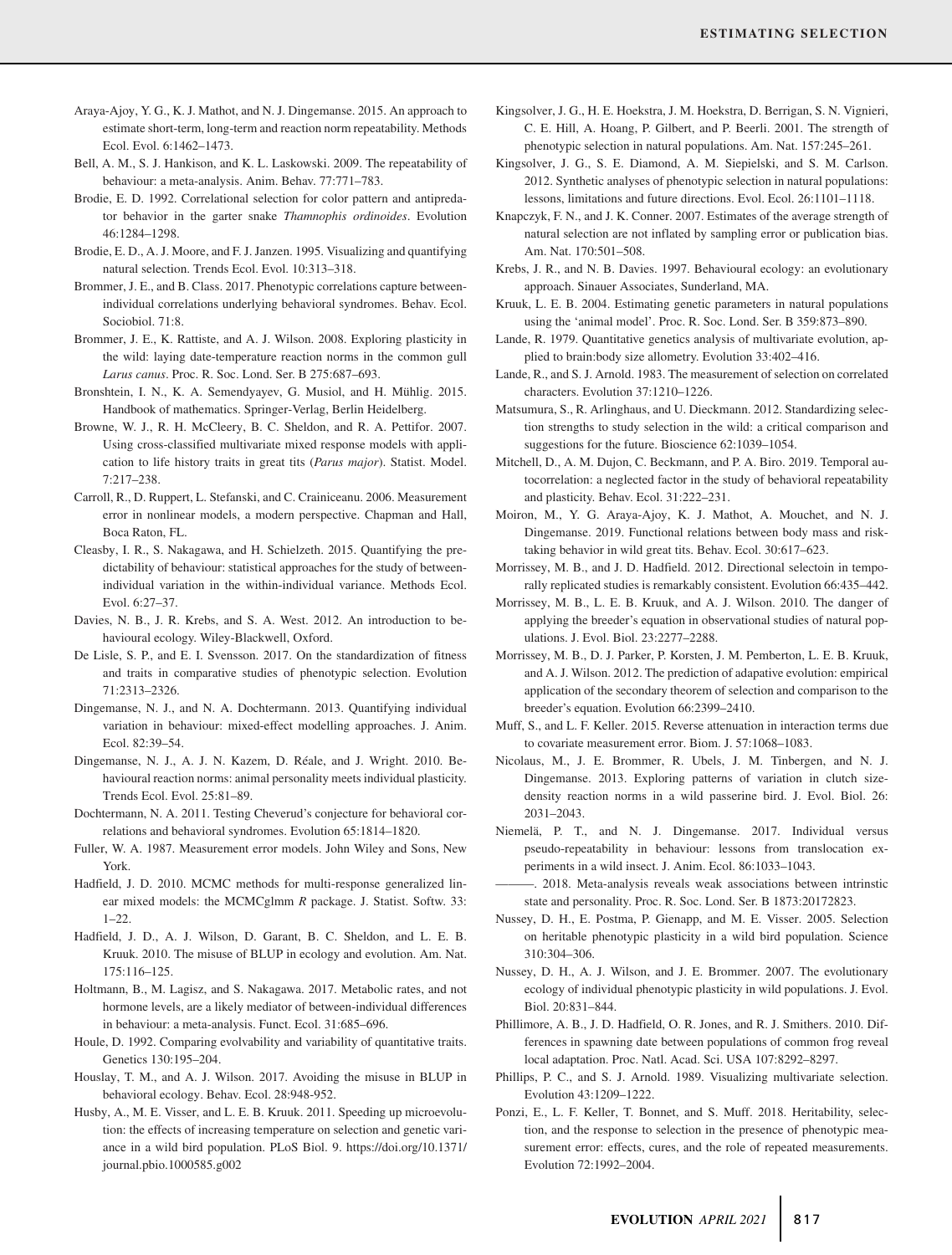- Bell, A. M., S. J. Hankison, and K. L. Laskowski. 2009. The repeatability of behaviour: a meta-analysis. Anim. Behav. 77:771–783.
- Brodie, E. D. 1992. Correlational selection for color pattern and antipredator behavior in the garter snake *Thamnophis ordinoides*. Evolution 46:1284–1298.
- Brodie, E. D., A. J. Moore, and F. J. Janzen. 1995. Visualizing and quantifying natural selection. Trends Ecol. Evol. 10:313–318.
- Brommer, J. E., and B. Class. 2017. Phenotypic correlations capture betweenindividual correlations underlying behavioral syndromes. Behav. Ecol. Sociobiol. 71:8.
- Brommer, J. E., K. Rattiste, and A. J. Wilson. 2008. Exploring plasticity in the wild: laying date-temperature reaction norms in the common gull *Larus canus*. Proc. R. Soc. Lond. Ser. B 275:687–693.
- Bronshtein, I. N., K. A. Semendyayev, G. Musiol, and H. Mühlig. 2015. Handbook of mathematics. Springer-Verlag, Berlin Heidelberg.
- Browne, W. J., R. H. McCleery, B. C. Sheldon, and R. A. Pettifor. 2007. Using cross-classified multivariate mixed response models with application to life history traits in great tits (*Parus major*). Statist. Model. 7:217–238.
- Carroll, R., D. Ruppert, L. Stefanski, and C. Crainiceanu. 2006. Measurement error in nonlinear models, a modern perspective. Chapman and Hall, Boca Raton, FL.
- Cleasby, I. R., S. Nakagawa, and H. Schielzeth. 2015. Quantifying the predictability of behaviour: statistical approaches for the study of betweenindividual variation in the within-individual variance. Methods Ecol. Evol. 6:27–37.
- Davies, N. B., J. R. Krebs, and S. A. West. 2012. An introduction to behavioural ecology. Wiley-Blackwell, Oxford.
- De Lisle, S. P., and E. I. Svensson. 2017. On the standardization of fitness and traits in comparative studies of phenotypic selection. Evolution 71:2313–2326.
- Dingemanse, N. J., and N. A. Dochtermann. 2013. Quantifying individual variation in behaviour: mixed-effect modelling approaches. J. Anim. Ecol. 82:39–54.
- Dingemanse, N. J., A. J. N. Kazem, D. Réale, and J. Wright. 2010. Behavioural reaction norms: animal personality meets individual plasticity. Trends Ecol. Evol. 25:81–89.
- Dochtermann, N. A. 2011. Testing Cheverud's conjecture for behavioral correlations and behavioral syndromes. Evolution 65:1814–1820.
- Fuller, W. A. 1987. Measurement error models. John Wiley and Sons, New York.
- Hadfield, J. D. 2010. MCMC methods for multi-response generalized linear mixed models: the MCMCglmm *R* package. J. Statist. Softw. 33: 1–22.
- Hadfield, J. D., A. J. Wilson, D. Garant, B. C. Sheldon, and L. E. B. Kruuk. 2010. The misuse of BLUP in ecology and evolution. Am. Nat. 175:116–125.
- Holtmann, B., M. Lagisz, and S. Nakagawa. 2017. Metabolic rates, and not hormone levels, are a likely mediator of between-individual differences in behaviour: a meta-analysis. Funct. Ecol. 31:685–696.
- Houle, D. 1992. Comparing evolvability and variability of quantitative traits. Genetics 130:195–204.
- Houslay, T. M., and A. J. Wilson. 2017. Avoiding the misuse in BLUP in behavioral ecology. Behav. Ecol. 28:948-952.
- Husby, A., M. E. Visser, and L. E. B. Kruuk. 2011. Speeding up microevolution: the effects of increasing temperature on selection and genetic variance in a wild bird population. PLoS Biol. 9. [https://doi.org/10.1371/](https://doi.org/10.1371/journal.pbio.1000585.g002) [journal.pbio.1000585.g002](https://doi.org/10.1371/journal.pbio.1000585.g002)
- Kingsolver, J. G., H. E. Hoekstra, J. M. Hoekstra, D. Berrigan, S. N. Vignieri, C. E. Hill, A. Hoang, P. Gilbert, and P. Beerli. 2001. The strength of phenotypic selection in natural populations. Am. Nat. 157:245–261.
- Kingsolver, J. G., S. E. Diamond, A. M. Siepielski, and S. M. Carlson. 2012. Synthetic analyses of phenotypic selection in natural populations: lessons, limitations and future directions. Evol. Ecol. 26:1101–1118.
- Knapczyk, F. N., and J. K. Conner. 2007. Estimates of the average strength of natural selection are not inflated by sampling error or publication bias. Am. Nat. 170:501–508.
- Krebs, J. R., and N. B. Davies. 1997. Behavioural ecology: an evolutionary approach. Sinauer Associates, Sunderland, MA.
- Kruuk, L. E. B. 2004. Estimating genetic parameters in natural populations using the 'animal model'. Proc. R. Soc. Lond. Ser. B 359:873–890.
- Lande, R. 1979. Quantitative genetics analysis of multivariate evolution, applied to brain:body size allometry. Evolution 33:402–416.
- Lande, R., and S. J. Arnold. 1983. The measurement of selection on correlated characters. Evolution 37:1210–1226.
- Matsumura, S., R. Arlinghaus, and U. Dieckmann. 2012. Standardizing selection strengths to study selection in the wild: a critical comparison and suggestions for the future. Bioscience 62:1039–1054.
- Mitchell, D., A. M. Dujon, C. Beckmann, and P. A. Biro. 2019. Temporal autocorrelation: a neglected factor in the study of behavioral repeatability and plasticity. Behav. Ecol. 31:222–231.
- Moiron, M., Y. G. Araya-Ajoy, K. J. Mathot, A. Mouchet, and N. J. Dingemanse. 2019. Functional relations between body mass and risktaking behavior in wild great tits. Behav. Ecol. 30:617–623.
- Morrissey, M. B., and J. D. Hadfield. 2012. Directional selectoin in temporally replicated studies is remarkably consistent. Evolution 66:435–442.
- Morrissey, M. B., L. E. B. Kruuk, and A. J. Wilson. 2010. The danger of applying the breeder's equation in observational studies of natural populations. J. Evol. Biol. 23:2277–2288.
- Morrissey, M. B., D. J. Parker, P. Korsten, J. M. Pemberton, L. E. B. Kruuk, and A. J. Wilson. 2012. The prediction of adapative evolution: empirical application of the secondary theorem of selection and comparison to the breeder's equation. Evolution 66:2399–2410.
- Muff, S., and L. F. Keller. 2015. Reverse attenuation in interaction terms due to covariate measurement error. Biom. J. 57:1068–1083.
- Nicolaus, M., J. E. Brommer, R. Ubels, J. M. Tinbergen, and N. J. Dingemanse. 2013. Exploring patterns of variation in clutch sizedensity reaction norms in a wild passerine bird. J. Evol. Biol. 26: 2031–2043.
- Niemelä, P. T., and N. J. Dingemanse. 2017. Individual versus pseudo-repeatability in behaviour: lessons from translocation experiments in a wild insect. J. Anim. Ecol. 86:1033–1043.
- -. 2018. Meta-analysis reveals weak associations between intrinstic state and personality. Proc. R. Soc. Lond. Ser. B 1873:20172823.
- Nussey, D. H., E. Postma, P. Gienapp, and M. E. Visser. 2005. Selection on heritable phenotypic plasticity in a wild bird population. Science 310:304–306.
- Nussey, D. H., A. J. Wilson, and J. E. Brommer. 2007. The evolutionary ecology of individual phenotypic plasticity in wild populations. J. Evol. Biol. 20:831–844.
- Phillimore, A. B., J. D. Hadfield, O. R. Jones, and R. J. Smithers. 2010. Differences in spawning date between populations of common frog reveal local adaptation. Proc. Natl. Acad. Sci. USA 107:8292–8297.
- Phillips, P. C., and S. J. Arnold. 1989. Visualizing multivariate selection. Evolution 43:1209–1222.
- Ponzi, E., L. F. Keller, T. Bonnet, and S. Muff. 2018. Heritability, selection, and the response to selection in the presence of phenotypic measurement error: effects, cures, and the role of repeated measurements. Evolution 72:1992–2004.